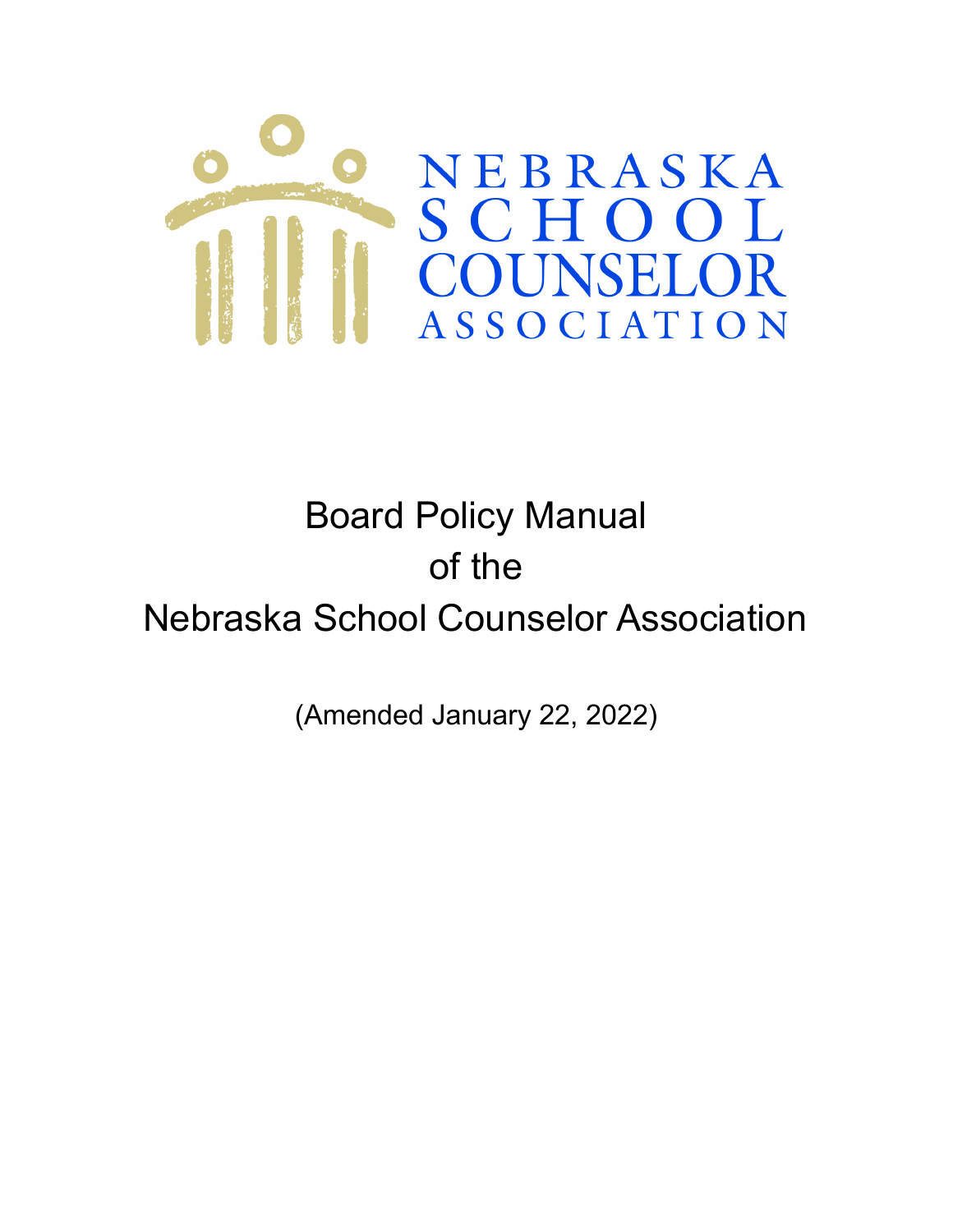

# Board Policy Manual of the Nebraska School Counselor Association

(Amended January 22, 2022)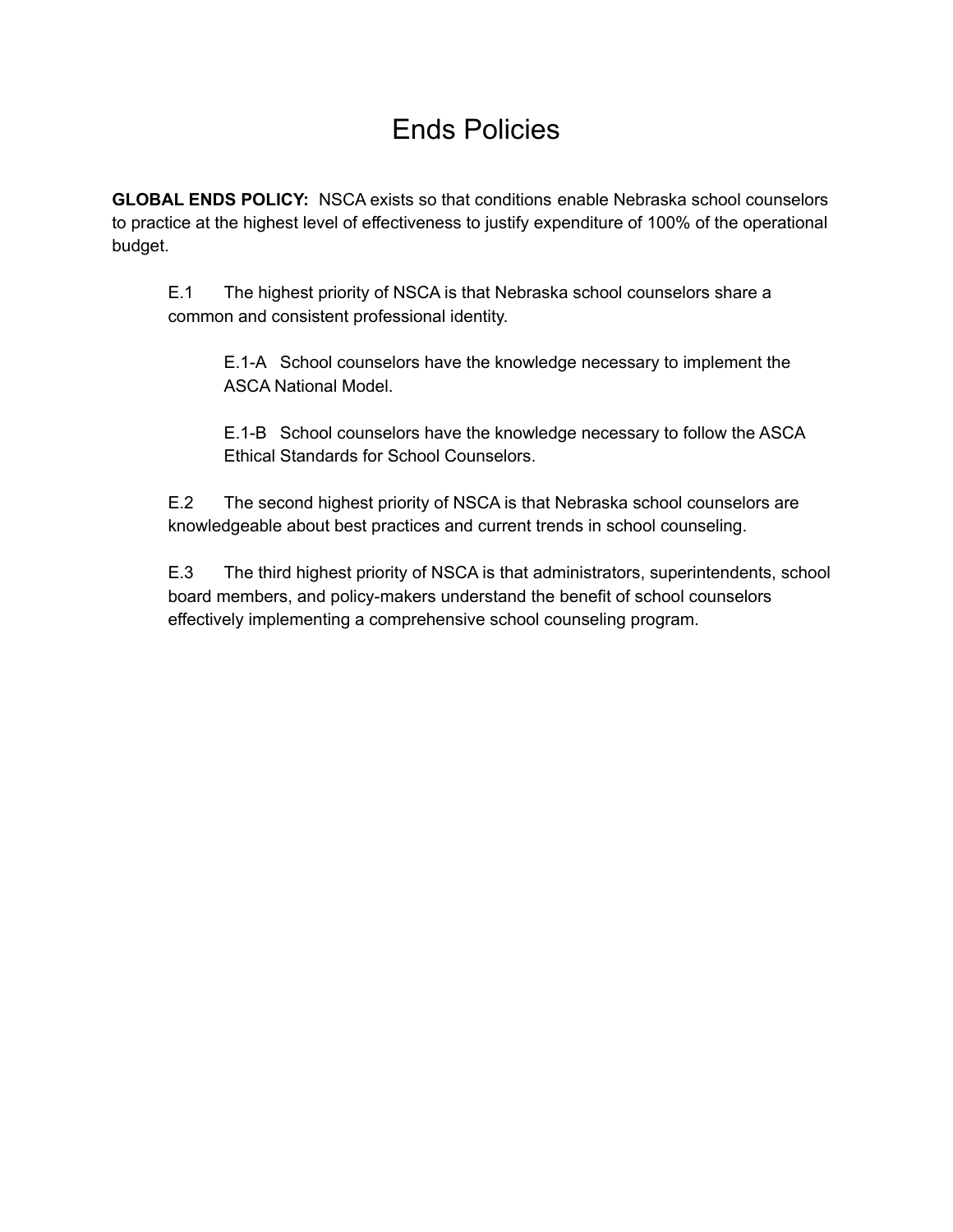## Ends Policies

**GLOBAL ENDS POLICY:** NSCA exists so that conditions enable Nebraska school counselors to practice at the highest level of effectiveness to justify expenditure of 100% of the operational budget.

E.1 The highest priority of NSCA is that Nebraska school counselors share a common and consistent professional identity.

E.1-A School counselors have the knowledge necessary to implement the ASCA National Model.

E.1-B School counselors have the knowledge necessary to follow the ASCA Ethical Standards for School Counselors.

E.2 The second highest priority of NSCA is that Nebraska school counselors are knowledgeable about best practices and current trends in school counseling.

E.3 The third highest priority of NSCA is that administrators, superintendents, school board members, and policy-makers understand the benefit of school counselors effectively implementing a comprehensive school counseling program.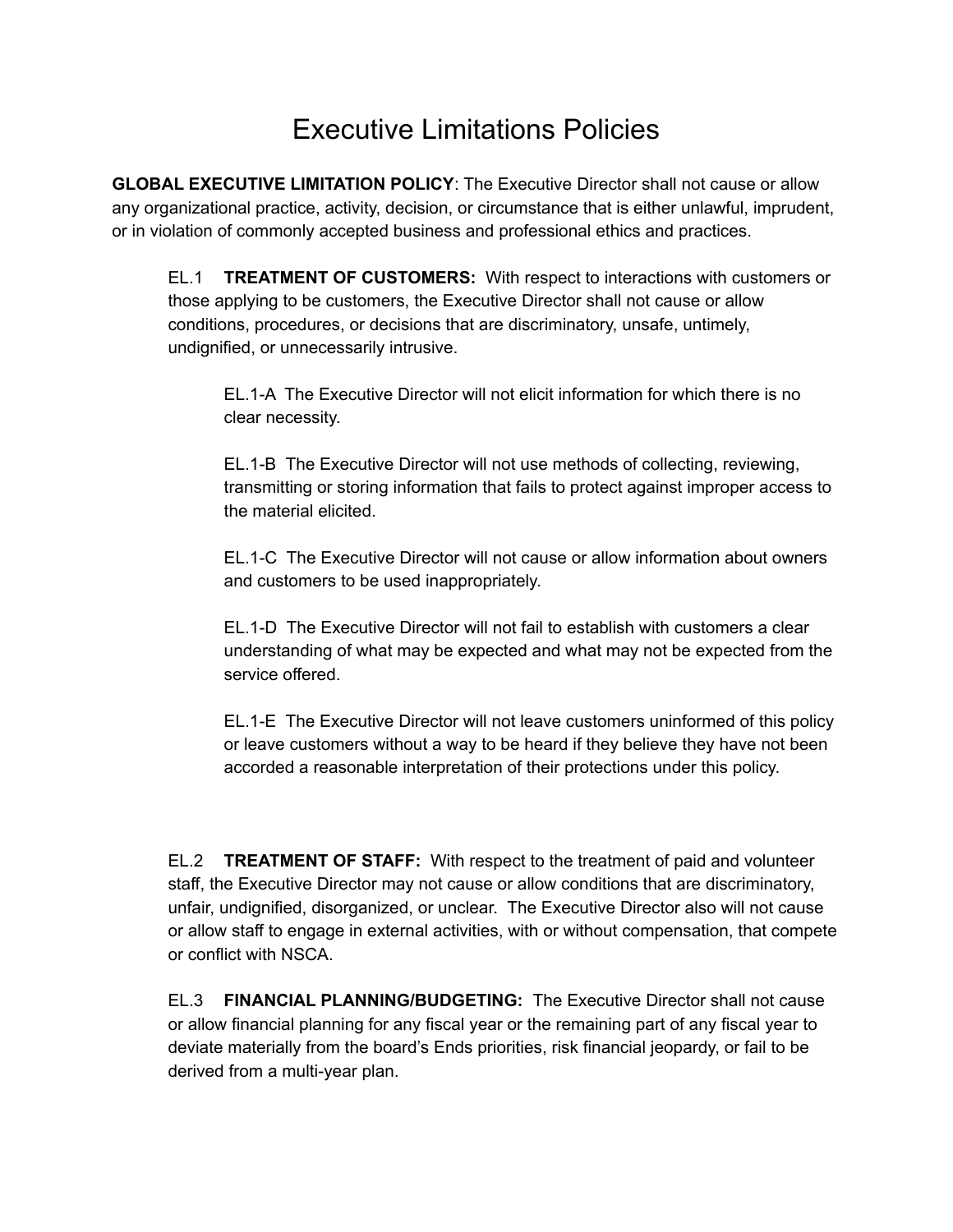## Executive Limitations Policies

**GLOBAL EXECUTIVE LIMITATION POLICY**: The Executive Director shall not cause or allow any organizational practice, activity, decision, or circumstance that is either unlawful, imprudent, or in violation of commonly accepted business and professional ethics and practices.

EL.1 **TREATMENT OF CUSTOMERS:** With respect to interactions with customers or those applying to be customers, the Executive Director shall not cause or allow conditions, procedures, or decisions that are discriminatory, unsafe, untimely, undignified, or unnecessarily intrusive.

EL.1-A The Executive Director will not elicit information for which there is no clear necessity.

EL.1-B The Executive Director will not use methods of collecting, reviewing, transmitting or storing information that fails to protect against improper access to the material elicited.

EL.1-C The Executive Director will not cause or allow information about owners and customers to be used inappropriately.

EL.1-D The Executive Director will not fail to establish with customers a clear understanding of what may be expected and what may not be expected from the service offered.

EL.1-E The Executive Director will not leave customers uninformed of this policy or leave customers without a way to be heard if they believe they have not been accorded a reasonable interpretation of their protections under this policy.

EL.2 **TREATMENT OF STAFF:** With respect to the treatment of paid and volunteer staff, the Executive Director may not cause or allow conditions that are discriminatory, unfair, undignified, disorganized, or unclear. The Executive Director also will not cause or allow staff to engage in external activities, with or without compensation, that compete or conflict with NSCA.

EL.3 **FINANCIAL PLANNING/BUDGETING:** The Executive Director shall not cause or allow financial planning for any fiscal year or the remaining part of any fiscal year to deviate materially from the board's Ends priorities, risk financial jeopardy, or fail to be derived from a multi-year plan.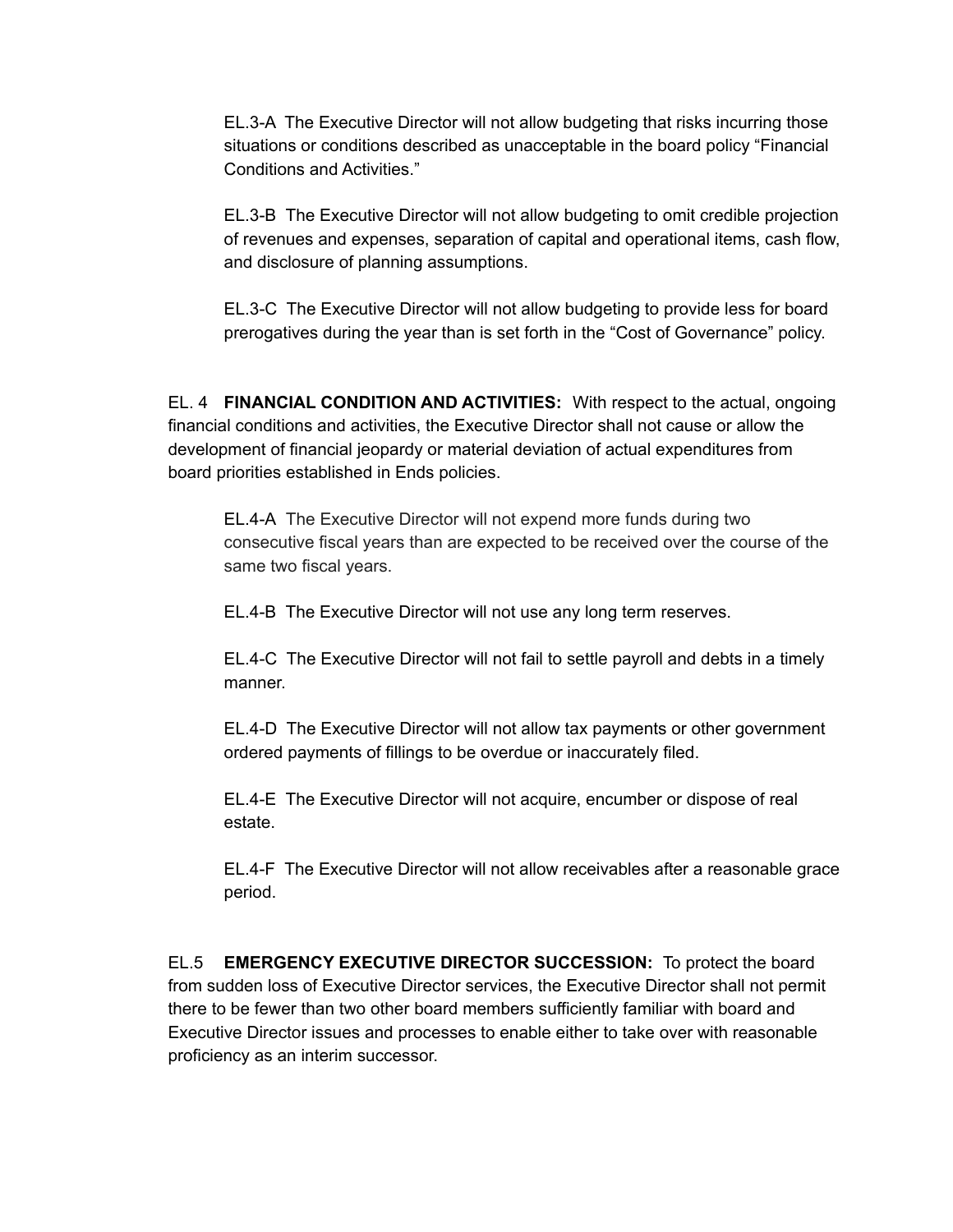EL.3-A The Executive Director will not allow budgeting that risks incurring those situations or conditions described as unacceptable in the board policy "Financial Conditions and Activities."

EL.3-B The Executive Director will not allow budgeting to omit credible projection of revenues and expenses, separation of capital and operational items, cash flow, and disclosure of planning assumptions.

EL.3-C The Executive Director will not allow budgeting to provide less for board prerogatives during the year than is set forth in the "Cost of Governance" policy.

EL. 4 **FINANCIAL CONDITION AND ACTIVITIES:** With respect to the actual, ongoing financial conditions and activities, the Executive Director shall not cause or allow the development of financial jeopardy or material deviation of actual expenditures from board priorities established in Ends policies.

EL.4-A The Executive Director will not expend more funds during two consecutive fiscal years than are expected to be received over the course of the same two fiscal years.

EL.4-B The Executive Director will not use any long term reserves.

EL.4-C The Executive Director will not fail to settle payroll and debts in a timely manner.

EL.4-D The Executive Director will not allow tax payments or other government ordered payments of fillings to be overdue or inaccurately filed.

EL.4-E The Executive Director will not acquire, encumber or dispose of real estate.

EL.4-F The Executive Director will not allow receivables after a reasonable grace period.

EL.5 **EMERGENCY EXECUTIVE DIRECTOR SUCCESSION:** To protect the board from sudden loss of Executive Director services, the Executive Director shall not permit there to be fewer than two other board members sufficiently familiar with board and Executive Director issues and processes to enable either to take over with reasonable proficiency as an interim successor.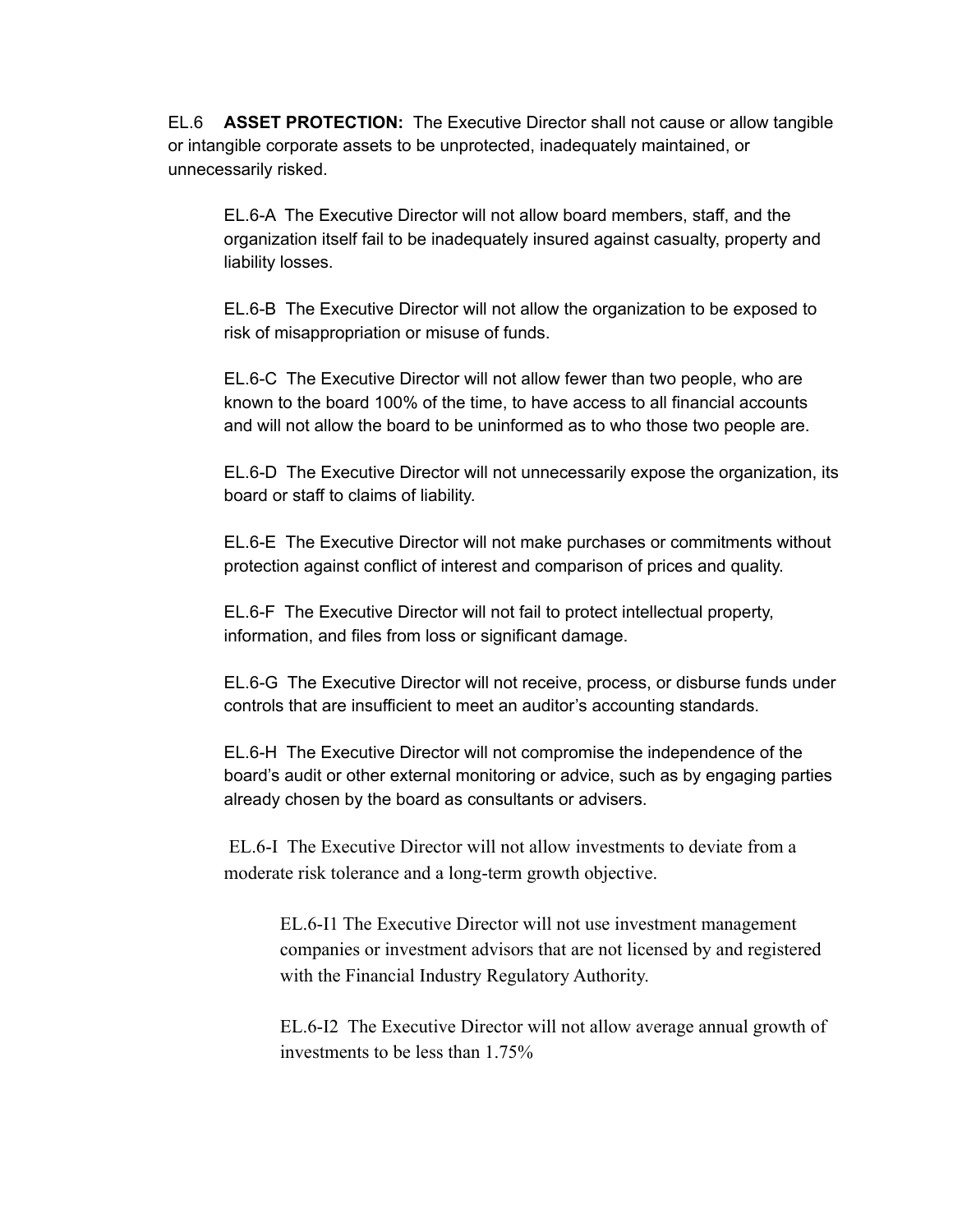EL.6 **ASSET PROTECTION:** The Executive Director shall not cause or allow tangible or intangible corporate assets to be unprotected, inadequately maintained, or unnecessarily risked.

EL.6-A The Executive Director will not allow board members, staff, and the organization itself fail to be inadequately insured against casualty, property and liability losses.

EL.6-B The Executive Director will not allow the organization to be exposed to risk of misappropriation or misuse of funds.

EL.6-C The Executive Director will not allow fewer than two people, who are known to the board 100% of the time, to have access to all financial accounts and will not allow the board to be uninformed as to who those two people are.

EL.6-D The Executive Director will not unnecessarily expose the organization, its board or staff to claims of liability.

EL.6-E The Executive Director will not make purchases or commitments without protection against conflict of interest and comparison of prices and quality.

EL.6-F The Executive Director will not fail to protect intellectual property, information, and files from loss or significant damage.

EL.6-G The Executive Director will not receive, process, or disburse funds under controls that are insufficient to meet an auditor's accounting standards.

EL.6-H The Executive Director will not compromise the independence of the board's audit or other external monitoring or advice, such as by engaging parties already chosen by the board as consultants or advisers.

EL.6-I The Executive Director will not allow investments to deviate from a moderate risk tolerance and a long-term growth objective.

EL.6-I1 The Executive Director will not use investment management companies or investment advisors that are not licensed by and registered with the Financial Industry Regulatory Authority.

EL.6-I2 The Executive Director will not allow average annual growth of investments to be less than 1.75%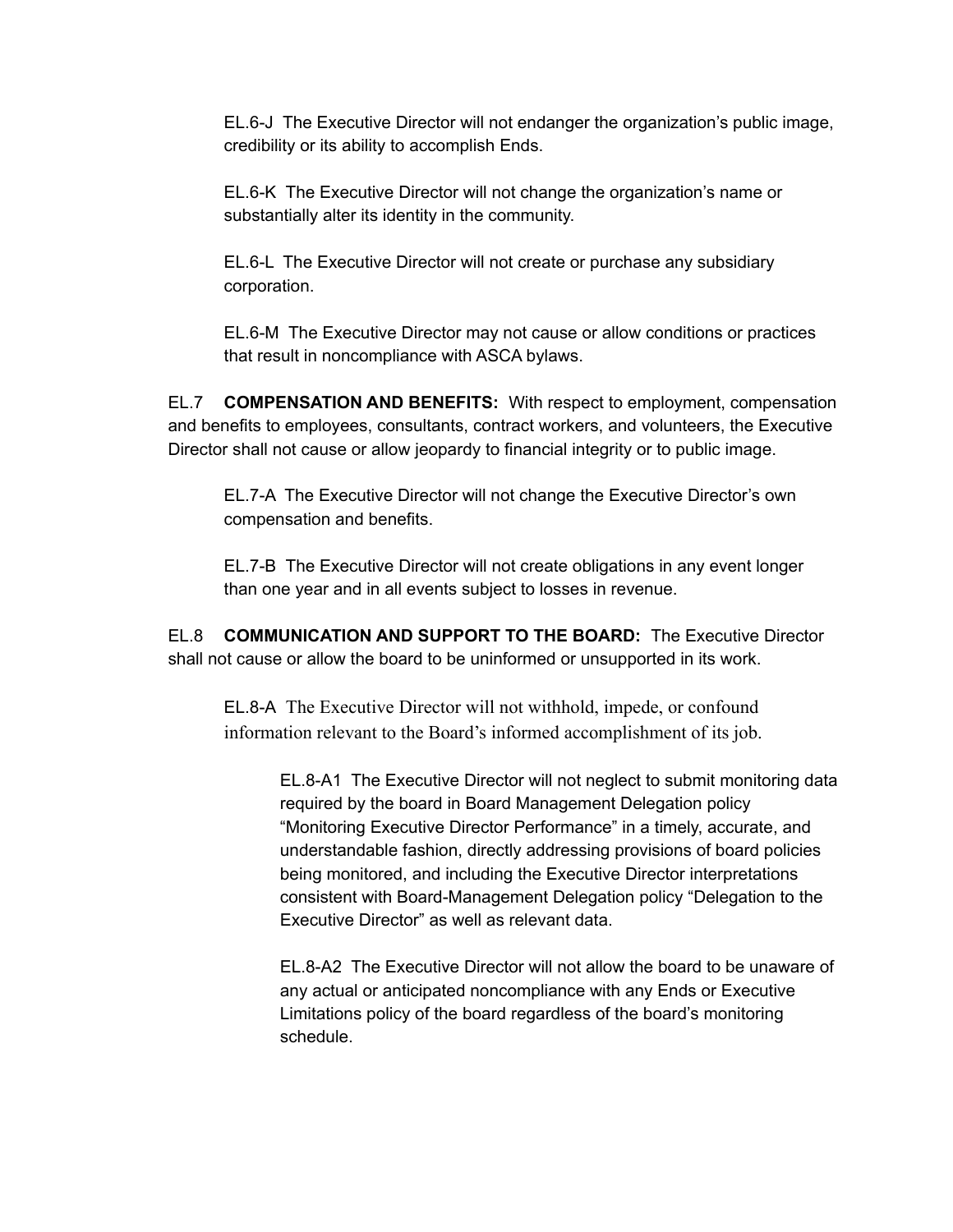EL.6-J The Executive Director will not endanger the organization's public image, credibility or its ability to accomplish Ends.

EL.6-K The Executive Director will not change the organization's name or substantially alter its identity in the community.

EL.6-L The Executive Director will not create or purchase any subsidiary corporation.

EL.6-M The Executive Director may not cause or allow conditions or practices that result in noncompliance with ASCA bylaws.

EL.7 **COMPENSATION AND BENEFITS:** With respect to employment, compensation and benefits to employees, consultants, contract workers, and volunteers, the Executive Director shall not cause or allow jeopardy to financial integrity or to public image.

EL.7-A The Executive Director will not change the Executive Director's own compensation and benefits.

EL.7-B The Executive Director will not create obligations in any event longer than one year and in all events subject to losses in revenue.

EL.8 **COMMUNICATION AND SUPPORT TO THE BOARD:** The Executive Director shall not cause or allow the board to be uninformed or unsupported in its work.

EL.8-A The Executive Director will not withhold, impede, or confound information relevant to the Board's informed accomplishment of its job.

> EL.8-A1 The Executive Director will not neglect to submit monitoring data required by the board in Board Management Delegation policy "Monitoring Executive Director Performance" in a timely, accurate, and understandable fashion, directly addressing provisions of board policies being monitored, and including the Executive Director interpretations consistent with Board-Management Delegation policy "Delegation to the Executive Director" as well as relevant data.

> EL.8-A2 The Executive Director will not allow the board to be unaware of any actual or anticipated noncompliance with any Ends or Executive Limitations policy of the board regardless of the board's monitoring schedule.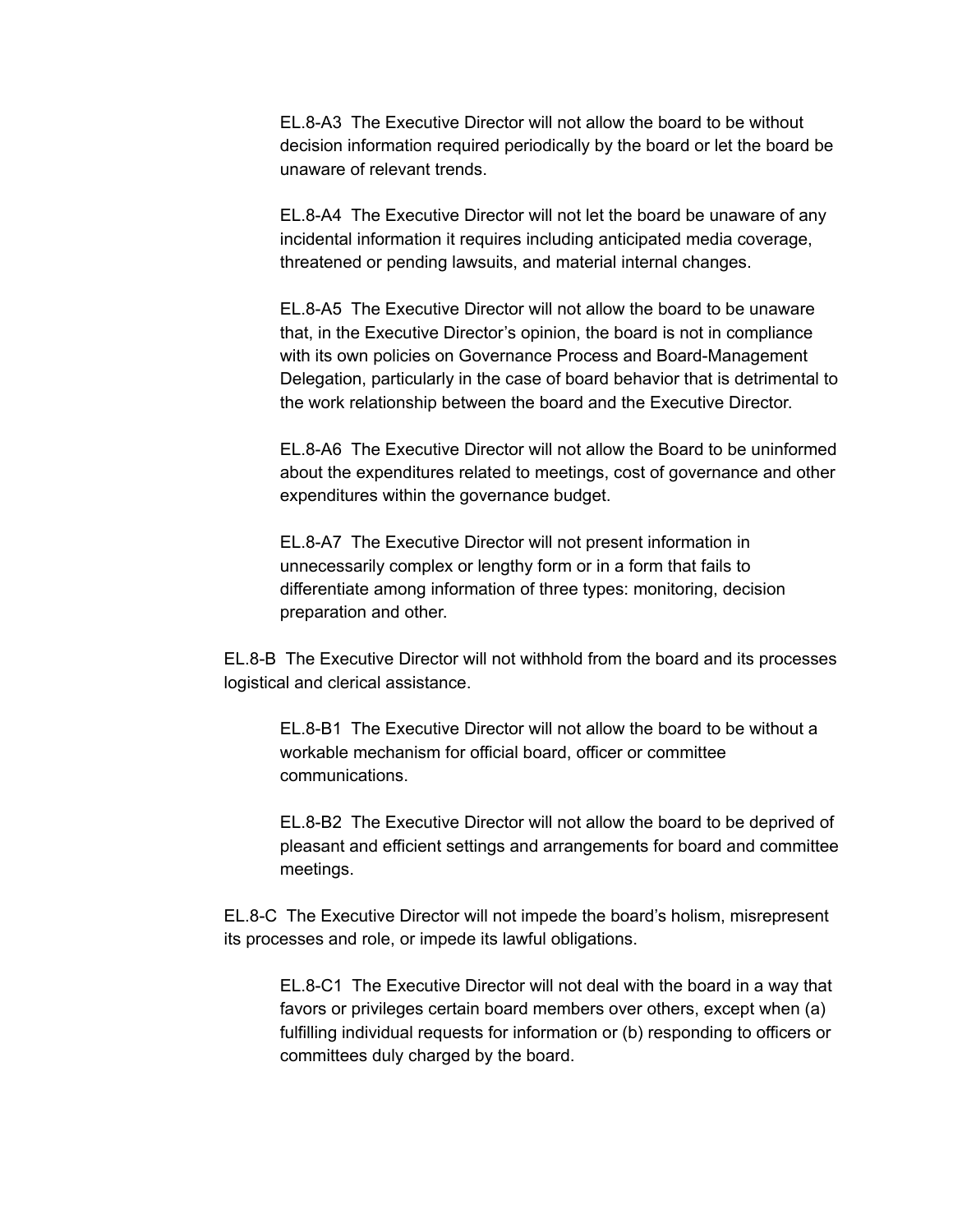EL.8-A3 The Executive Director will not allow the board to be without decision information required periodically by the board or let the board be unaware of relevant trends.

EL.8-A4 The Executive Director will not let the board be unaware of any incidental information it requires including anticipated media coverage, threatened or pending lawsuits, and material internal changes.

EL.8-A5 The Executive Director will not allow the board to be unaware that, in the Executive Director's opinion, the board is not in compliance with its own policies on Governance Process and Board-Management Delegation, particularly in the case of board behavior that is detrimental to the work relationship between the board and the Executive Director.

EL.8-A6 The Executive Director will not allow the Board to be uninformed about the expenditures related to meetings, cost of governance and other expenditures within the governance budget.

EL.8-A7 The Executive Director will not present information in unnecessarily complex or lengthy form or in a form that fails to differentiate among information of three types: monitoring, decision preparation and other.

EL.8-B The Executive Director will not withhold from the board and its processes logistical and clerical assistance.

EL.8-B1 The Executive Director will not allow the board to be without a workable mechanism for official board, officer or committee communications.

EL.8-B2 The Executive Director will not allow the board to be deprived of pleasant and efficient settings and arrangements for board and committee meetings.

EL.8-C The Executive Director will not impede the board's holism, misrepresent its processes and role, or impede its lawful obligations.

EL.8-C1 The Executive Director will not deal with the board in a way that favors or privileges certain board members over others, except when (a) fulfilling individual requests for information or (b) responding to officers or committees duly charged by the board.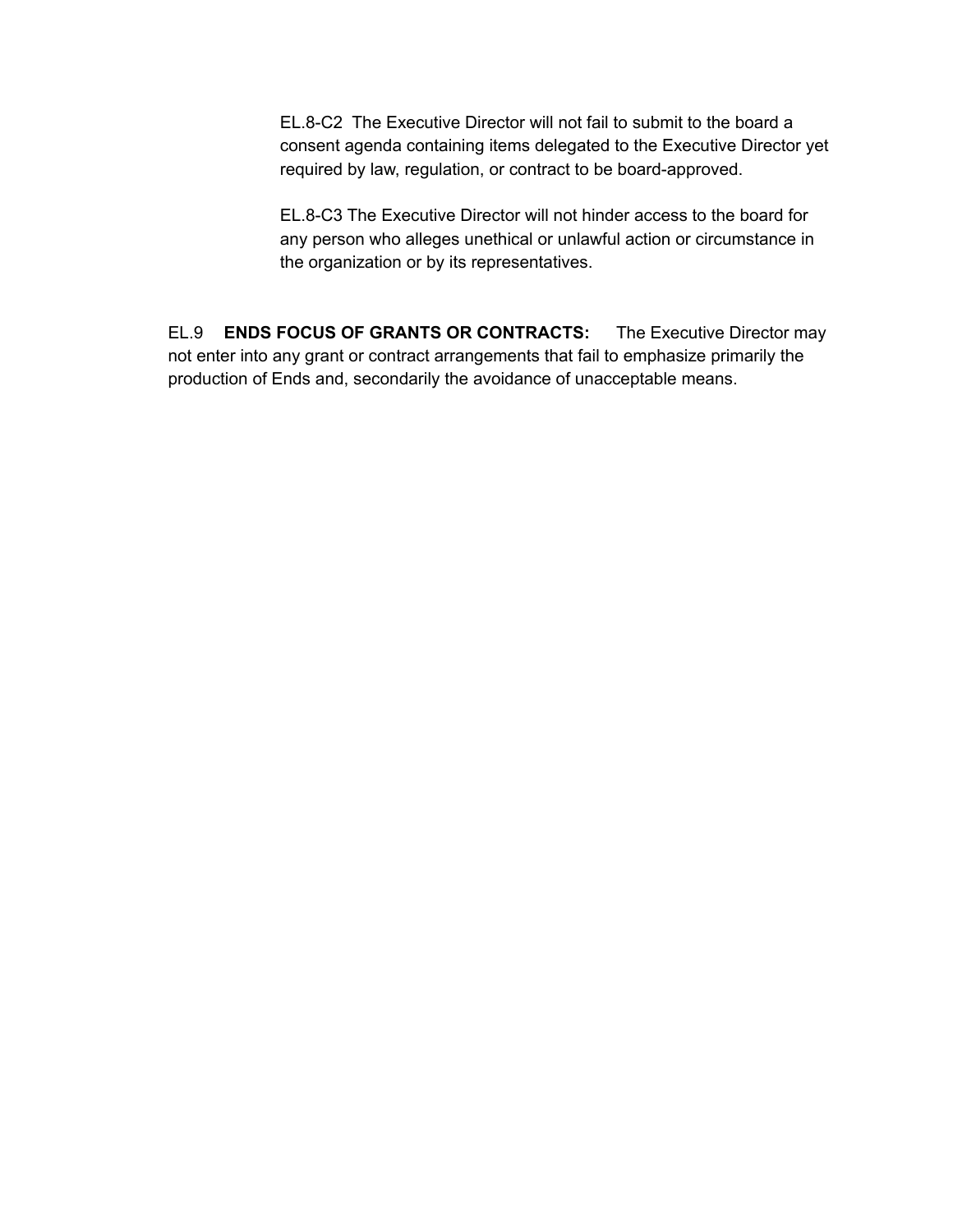EL.8-C2 The Executive Director will not fail to submit to the board a consent agenda containing items delegated to the Executive Director yet required by law, regulation, or contract to be board-approved.

EL.8-C3 The Executive Director will not hinder access to the board for any person who alleges unethical or unlawful action or circumstance in the organization or by its representatives.

EL.9 **ENDS FOCUS OF GRANTS OR CONTRACTS:** The Executive Director may not enter into any grant or contract arrangements that fail to emphasize primarily the production of Ends and, secondarily the avoidance of unacceptable means.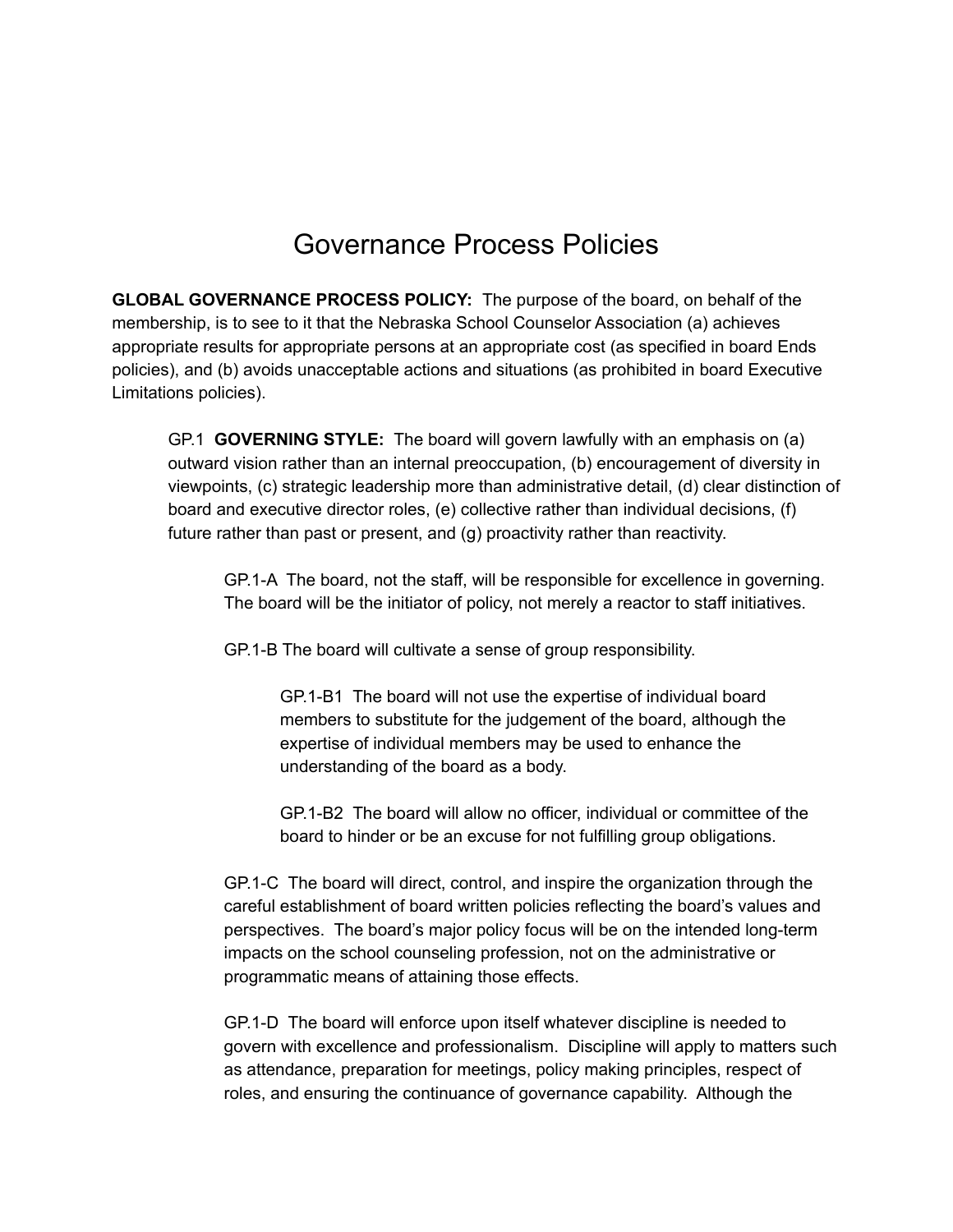#### Governance Process Policies

**GLOBAL GOVERNANCE PROCESS POLICY:** The purpose of the board, on behalf of the membership, is to see to it that the Nebraska School Counselor Association (a) achieves appropriate results for appropriate persons at an appropriate cost (as specified in board Ends policies), and (b) avoids unacceptable actions and situations (as prohibited in board Executive Limitations policies).

GP.1 **GOVERNING STYLE:** The board will govern lawfully with an emphasis on (a) outward vision rather than an internal preoccupation, (b) encouragement of diversity in viewpoints, (c) strategic leadership more than administrative detail, (d) clear distinction of board and executive director roles, (e) collective rather than individual decisions, (f) future rather than past or present, and (g) proactivity rather than reactivity.

GP.1-A The board, not the staff, will be responsible for excellence in governing. The board will be the initiator of policy, not merely a reactor to staff initiatives.

GP.1-B The board will cultivate a sense of group responsibility.

GP.1-B1 The board will not use the expertise of individual board members to substitute for the judgement of the board, although the expertise of individual members may be used to enhance the understanding of the board as a body.

GP.1-B2 The board will allow no officer, individual or committee of the board to hinder or be an excuse for not fulfilling group obligations.

GP.1-C The board will direct, control, and inspire the organization through the careful establishment of board written policies reflecting the board's values and perspectives. The board's major policy focus will be on the intended long-term impacts on the school counseling profession, not on the administrative or programmatic means of attaining those effects.

GP.1-D The board will enforce upon itself whatever discipline is needed to govern with excellence and professionalism. Discipline will apply to matters such as attendance, preparation for meetings, policy making principles, respect of roles, and ensuring the continuance of governance capability. Although the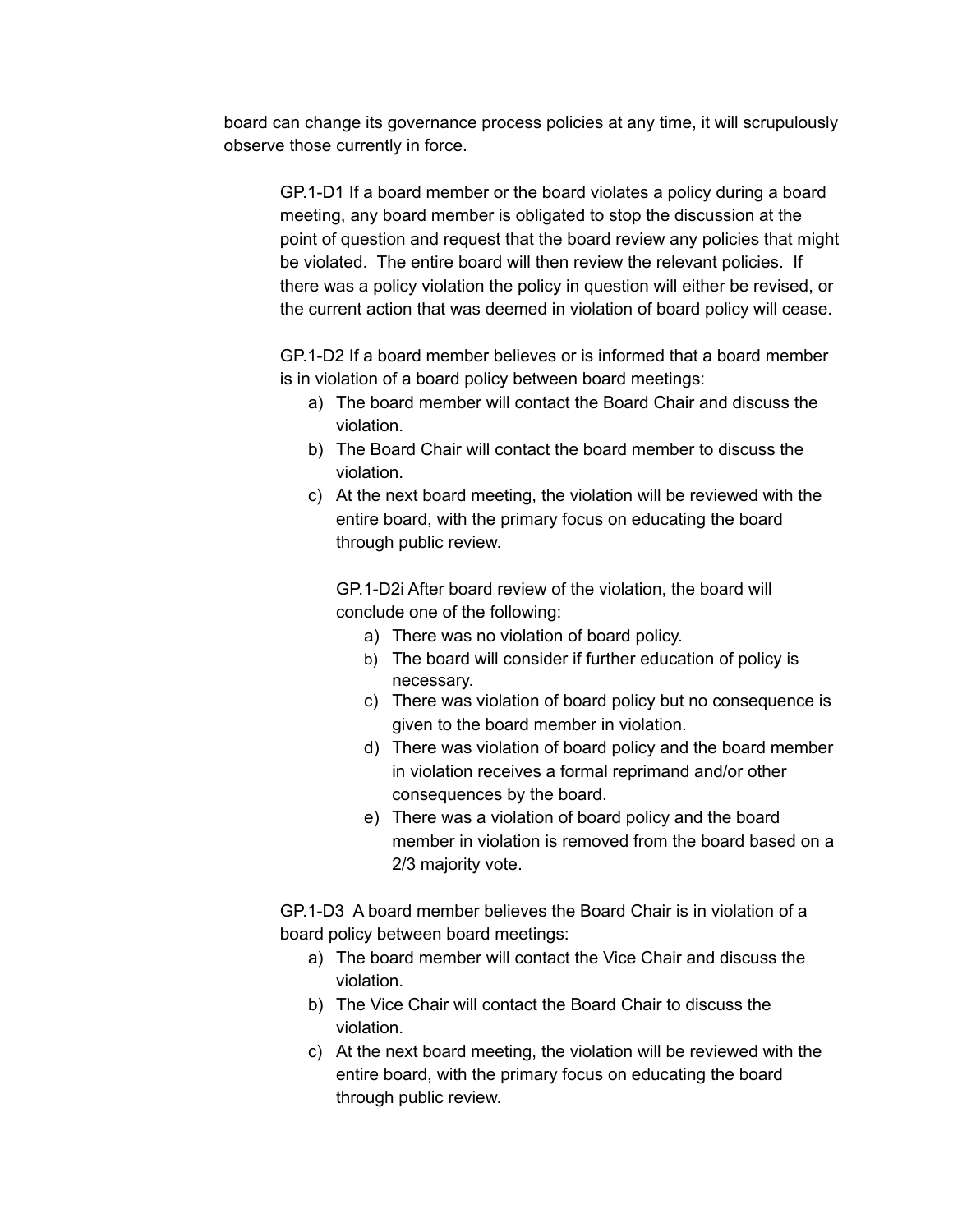board can change its governance process policies at any time, it will scrupulously observe those currently in force.

GP.1-D1 If a board member or the board violates a policy during a board meeting, any board member is obligated to stop the discussion at the point of question and request that the board review any policies that might be violated. The entire board will then review the relevant policies. If there was a policy violation the policy in question will either be revised, or the current action that was deemed in violation of board policy will cease.

GP.1-D2 If a board member believes or is informed that a board member is in violation of a board policy between board meetings:

- a) The board member will contact the Board Chair and discuss the violation.
- b) The Board Chair will contact the board member to discuss the violation.
- c) At the next board meeting, the violation will be reviewed with the entire board, with the primary focus on educating the board through public review.

GP.1-D2i After board review of the violation, the board will conclude one of the following:

- a) There was no violation of board policy.
- b) The board will consider if further education of policy is necessary.
- c) There was violation of board policy but no consequence is given to the board member in violation.
- d) There was violation of board policy and the board member in violation receives a formal reprimand and/or other consequences by the board.
- e) There was a violation of board policy and the board member in violation is removed from the board based on a 2/3 majority vote.

GP.1-D3 A board member believes the Board Chair is in violation of a board policy between board meetings:

- a) The board member will contact the Vice Chair and discuss the violation.
- b) The Vice Chair will contact the Board Chair to discuss the violation.
- c) At the next board meeting, the violation will be reviewed with the entire board, with the primary focus on educating the board through public review.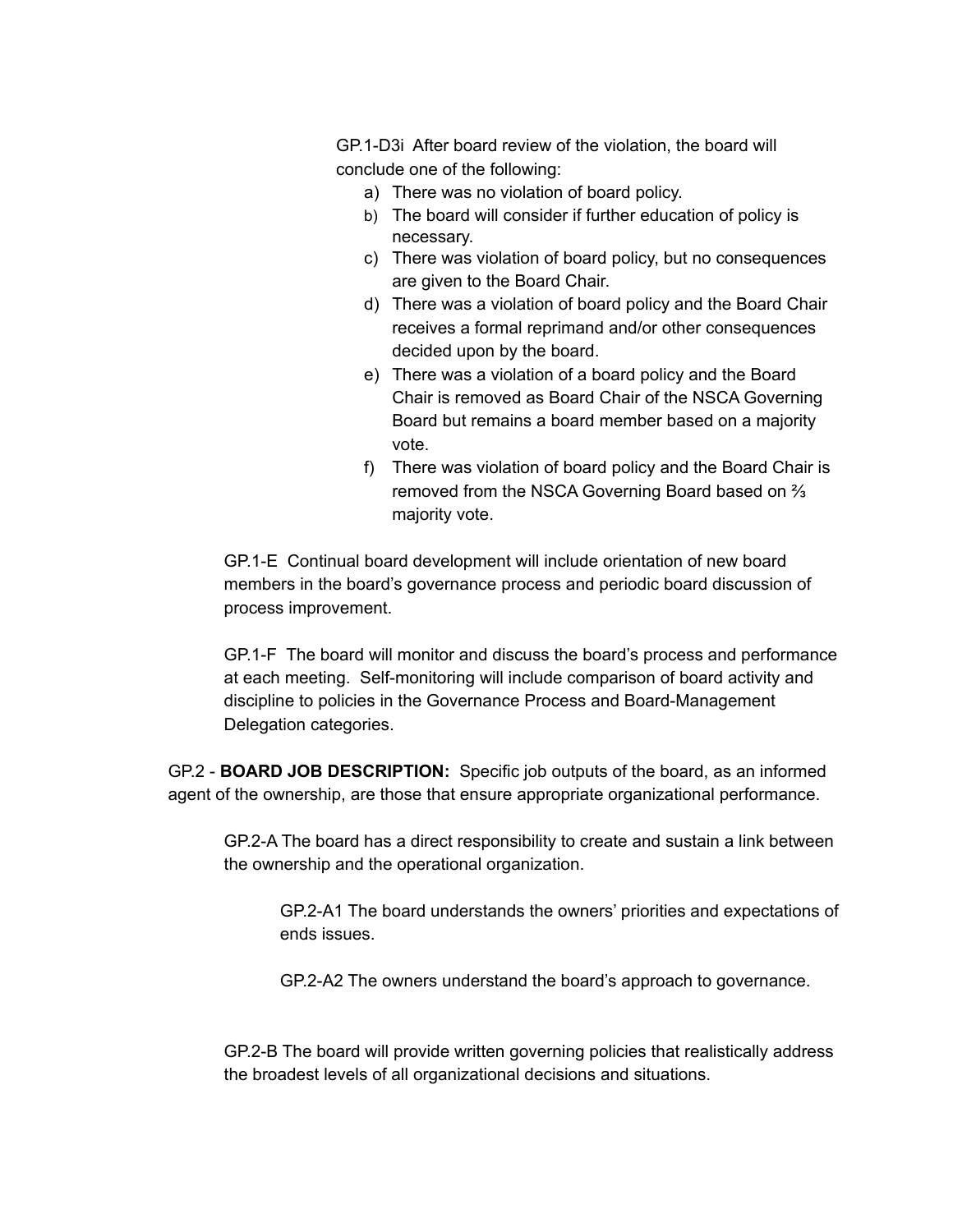GP.1-D3i After board review of the violation, the board will conclude one of the following:

- a) There was no violation of board policy.
- b) The board will consider if further education of policy is necessary.
- c) There was violation of board policy, but no consequences are given to the Board Chair.
- d) There was a violation of board policy and the Board Chair receives a formal reprimand and/or other consequences decided upon by the board.
- e) There was a violation of a board policy and the Board Chair is removed as Board Chair of the NSCA Governing Board but remains a board member based on a majority vote.
- f) There was violation of board policy and the Board Chair is removed from the NSCA Governing Board based on ⅔ majority vote.

GP.1-E Continual board development will include orientation of new board members in the board's governance process and periodic board discussion of process improvement.

GP.1-F The board will monitor and discuss the board's process and performance at each meeting. Self-monitoring will include comparison of board activity and discipline to policies in the Governance Process and Board-Management Delegation categories.

GP.2 - **BOARD JOB DESCRIPTION:** Specific job outputs of the board, as an informed agent of the ownership, are those that ensure appropriate organizational performance.

GP.2-A The board has a direct responsibility to create and sustain a link between the ownership and the operational organization.

GP.2-A1 The board understands the owners' priorities and expectations of ends issues.

GP.2-A2 The owners understand the board's approach to governance.

GP.2-B The board will provide written governing policies that realistically address the broadest levels of all organizational decisions and situations.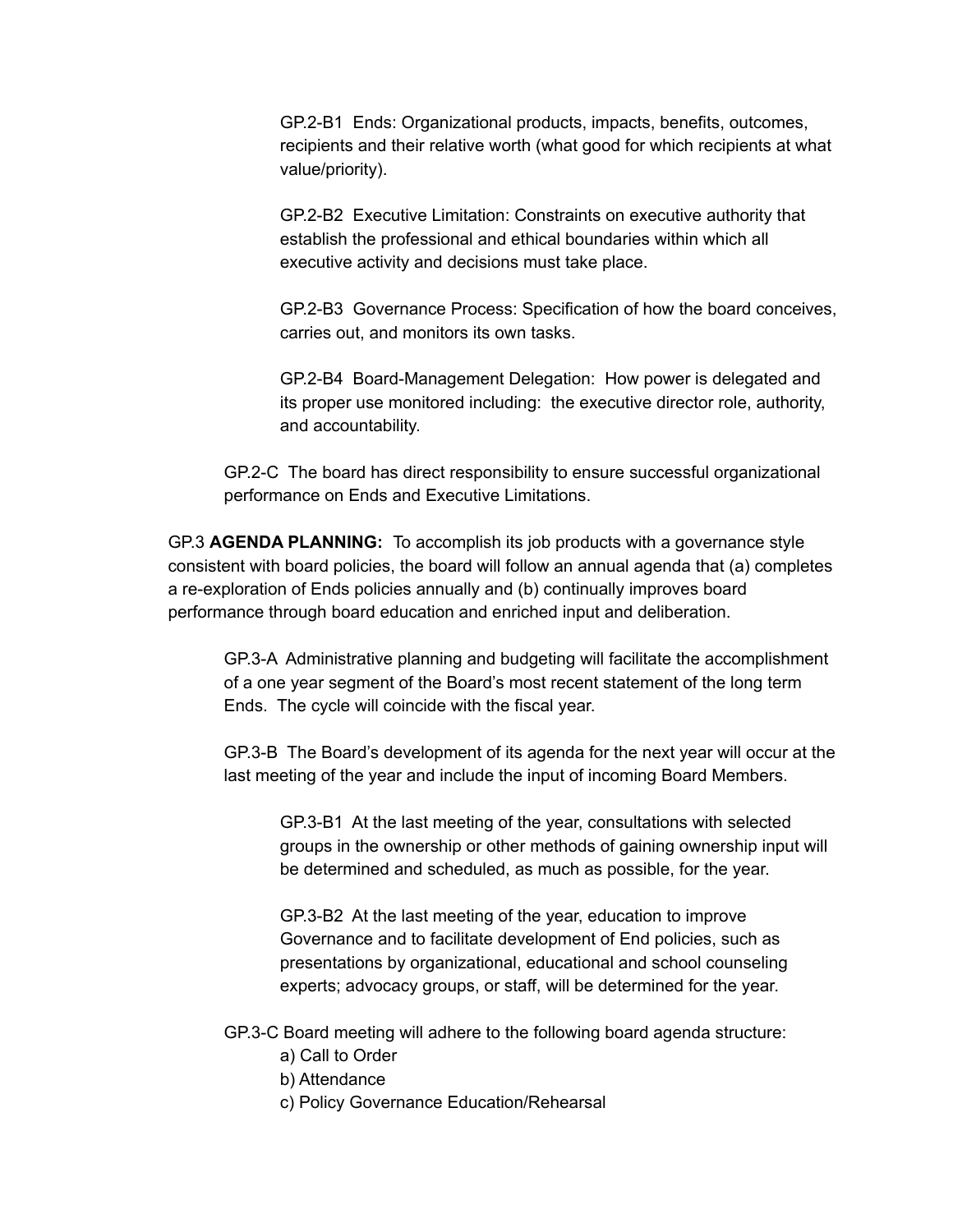GP.2-B1 Ends: Organizational products, impacts, benefits, outcomes, recipients and their relative worth (what good for which recipients at what value/priority).

GP.2-B2 Executive Limitation: Constraints on executive authority that establish the professional and ethical boundaries within which all executive activity and decisions must take place.

GP.2-B3 Governance Process: Specification of how the board conceives, carries out, and monitors its own tasks.

GP.2-B4 Board-Management Delegation: How power is delegated and its proper use monitored including: the executive director role, authority, and accountability.

GP.2-C The board has direct responsibility to ensure successful organizational performance on Ends and Executive Limitations.

GP.3 **AGENDA PLANNING:** To accomplish its job products with a governance style consistent with board policies, the board will follow an annual agenda that (a) completes a re-exploration of Ends policies annually and (b) continually improves board performance through board education and enriched input and deliberation.

GP.3-A Administrative planning and budgeting will facilitate the accomplishment of a one year segment of the Board's most recent statement of the long term Ends. The cycle will coincide with the fiscal year.

GP.3-B The Board's development of its agenda for the next year will occur at the last meeting of the year and include the input of incoming Board Members.

GP.3-B1 At the last meeting of the year, consultations with selected groups in the ownership or other methods of gaining ownership input will be determined and scheduled, as much as possible, for the year.

GP.3-B2 At the last meeting of the year, education to improve Governance and to facilitate development of End policies, such as presentations by organizational, educational and school counseling experts; advocacy groups, or staff, will be determined for the year.

GP.3-C Board meeting will adhere to the following board agenda structure:

- a) Call to Order
- b) Attendance
- c) Policy Governance Education/Rehearsal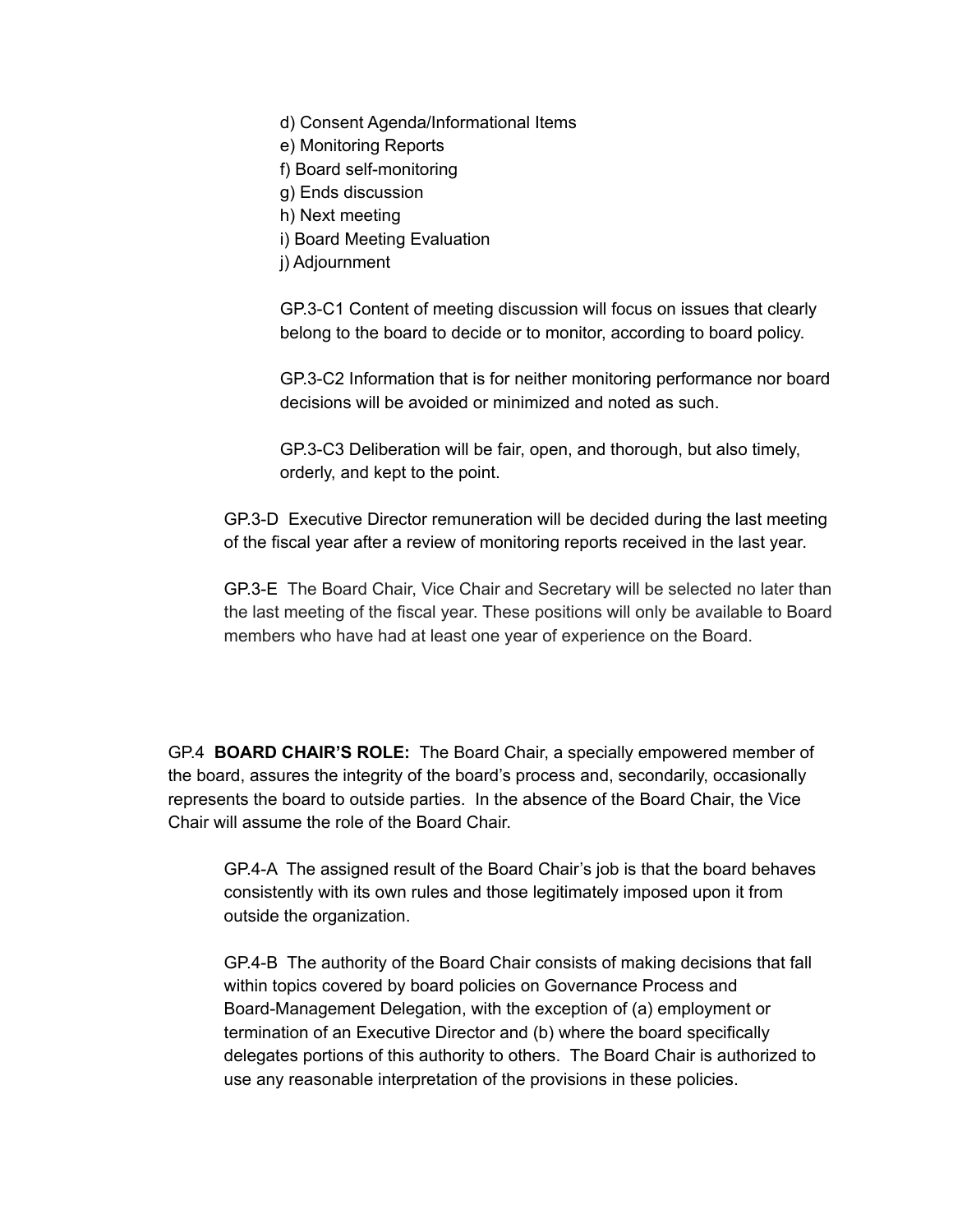- d) Consent Agenda/Informational Items
- e) Monitoring Reports
- f) Board self-monitoring
- g) Ends discussion
- h) Next meeting
- i) Board Meeting Evaluation
- j) Adjournment

GP.3-C1 Content of meeting discussion will focus on issues that clearly belong to the board to decide or to monitor, according to board policy.

GP.3-C2 Information that is for neither monitoring performance nor board decisions will be avoided or minimized and noted as such.

GP.3-C3 Deliberation will be fair, open, and thorough, but also timely, orderly, and kept to the point.

GP.3-D Executive Director remuneration will be decided during the last meeting of the fiscal year after a review of monitoring reports received in the last year.

GP.3-E The Board Chair, Vice Chair and Secretary will be selected no later than the last meeting of the fiscal year. These positions will only be available to Board members who have had at least one year of experience on the Board.

GP.4 **BOARD CHAIR'S ROLE:** The Board Chair, a specially empowered member of the board, assures the integrity of the board's process and, secondarily, occasionally represents the board to outside parties. In the absence of the Board Chair, the Vice Chair will assume the role of the Board Chair.

GP.4-A The assigned result of the Board Chair's job is that the board behaves consistently with its own rules and those legitimately imposed upon it from outside the organization.

GP.4-B The authority of the Board Chair consists of making decisions that fall within topics covered by board policies on Governance Process and Board-Management Delegation, with the exception of (a) employment or termination of an Executive Director and (b) where the board specifically delegates portions of this authority to others. The Board Chair is authorized to use any reasonable interpretation of the provisions in these policies.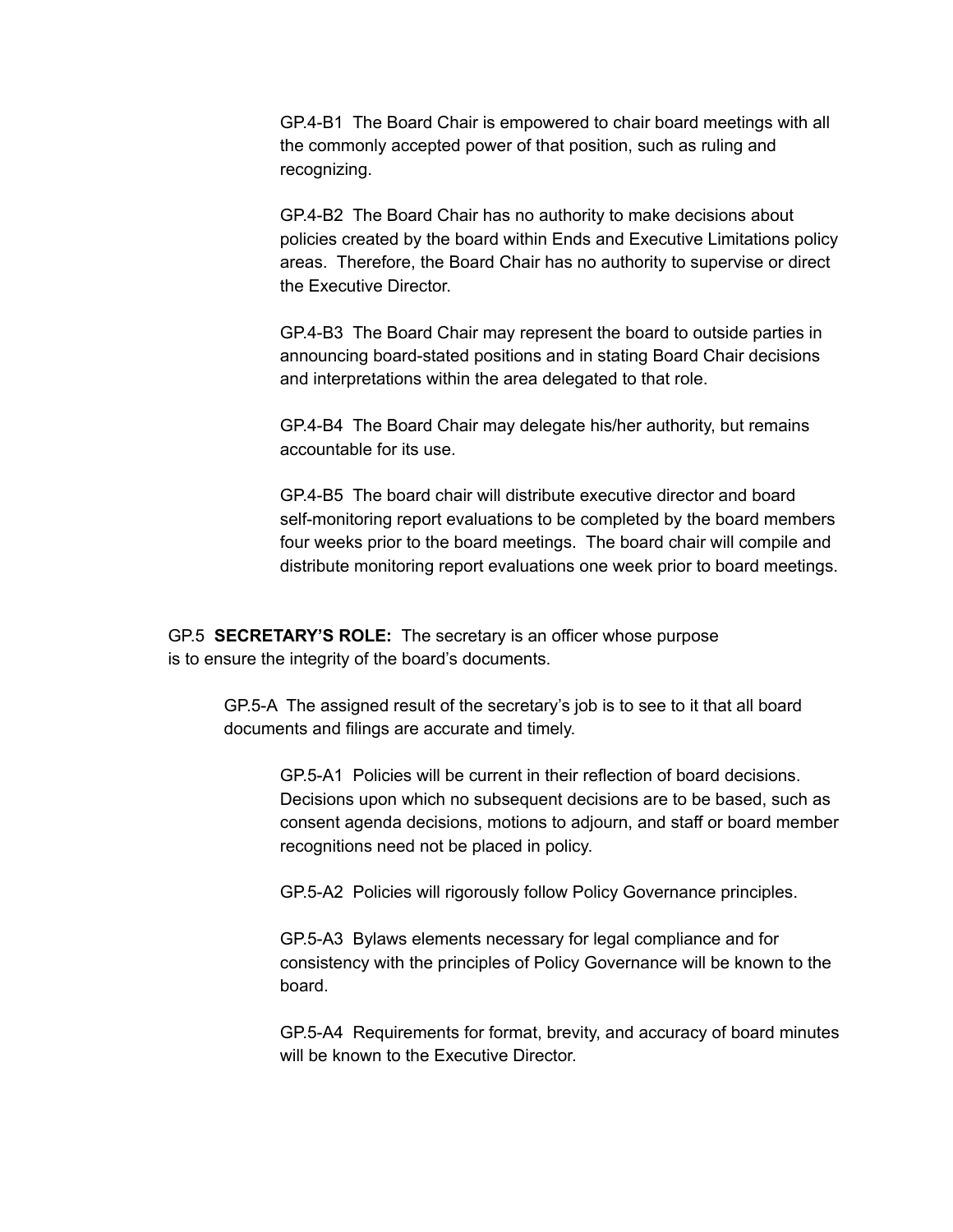GP.4-B1 The Board Chair is empowered to chair board meetings with all the commonly accepted power of that position, such as ruling and recognizing.

GP.4-B2 The Board Chair has no authority to make decisions about policies created by the board within Ends and Executive Limitations policy areas. Therefore, the Board Chair has no authority to supervise or direct the Executive Director.

GP.4-B3 The Board Chair may represent the board to outside parties in announcing board-stated positions and in stating Board Chair decisions and interpretations within the area delegated to that role.

GP.4-B4 The Board Chair may delegate his/her authority, but remains accountable for its use.

GP.4-B5 The board chair will distribute executive director and board self-monitoring report evaluations to be completed by the board members four weeks prior to the board meetings. The board chair will compile and distribute monitoring report evaluations one week prior to board meetings.

GP.5 **SECRETARY'S ROLE:** The secretary is an officer whose purpose is to ensure the integrity of the board's documents.

> GP.5-A The assigned result of the secretary's job is to see to it that all board documents and filings are accurate and timely.

GP.5-A1 Policies will be current in their reflection of board decisions. Decisions upon which no subsequent decisions are to be based, such as consent agenda decisions, motions to adjourn, and staff or board member recognitions need not be placed in policy.

GP.5-A2 Policies will rigorously follow Policy Governance principles.

GP.5-A3 Bylaws elements necessary for legal compliance and for consistency with the principles of Policy Governance will be known to the board.

GP.5-A4 Requirements for format, brevity, and accuracy of board minutes will be known to the Executive Director.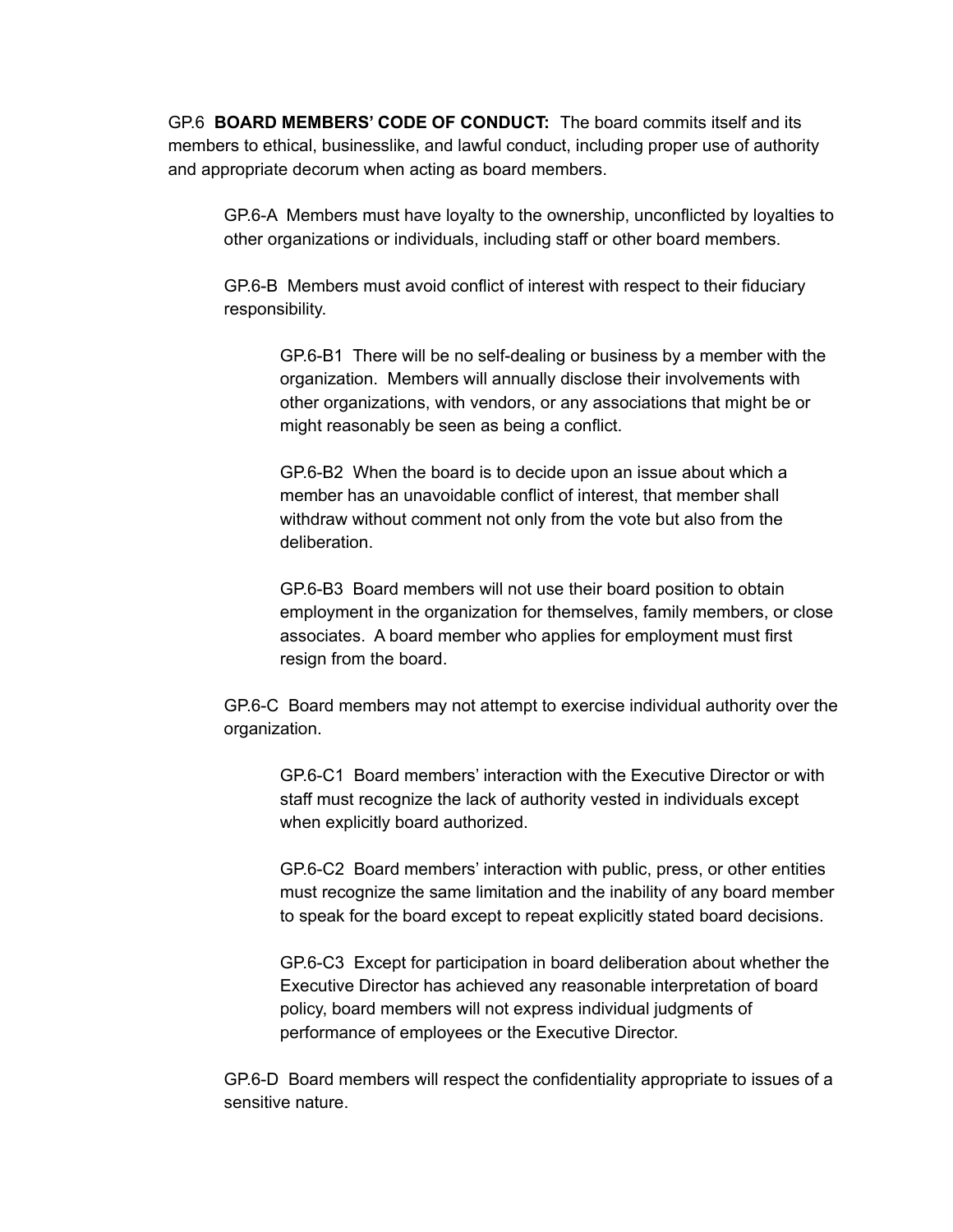GP.6 **BOARD MEMBERS' CODE OF CONDUCT:** The board commits itself and its members to ethical, businesslike, and lawful conduct, including proper use of authority and appropriate decorum when acting as board members.

GP.6-A Members must have loyalty to the ownership, unconflicted by loyalties to other organizations or individuals, including staff or other board members.

GP.6-B Members must avoid conflict of interest with respect to their fiduciary responsibility.

GP.6-B1 There will be no self-dealing or business by a member with the organization. Members will annually disclose their involvements with other organizations, with vendors, or any associations that might be or might reasonably be seen as being a conflict.

GP.6-B2 When the board is to decide upon an issue about which a member has an unavoidable conflict of interest, that member shall withdraw without comment not only from the vote but also from the deliberation.

GP.6-B3 Board members will not use their board position to obtain employment in the organization for themselves, family members, or close associates. A board member who applies for employment must first resign from the board.

GP.6-C Board members may not attempt to exercise individual authority over the organization.

GP.6-C1 Board members' interaction with the Executive Director or with staff must recognize the lack of authority vested in individuals except when explicitly board authorized.

GP.6-C2 Board members' interaction with public, press, or other entities must recognize the same limitation and the inability of any board member to speak for the board except to repeat explicitly stated board decisions.

GP.6-C3 Except for participation in board deliberation about whether the Executive Director has achieved any reasonable interpretation of board policy, board members will not express individual judgments of performance of employees or the Executive Director.

GP.6-D Board members will respect the confidentiality appropriate to issues of a sensitive nature.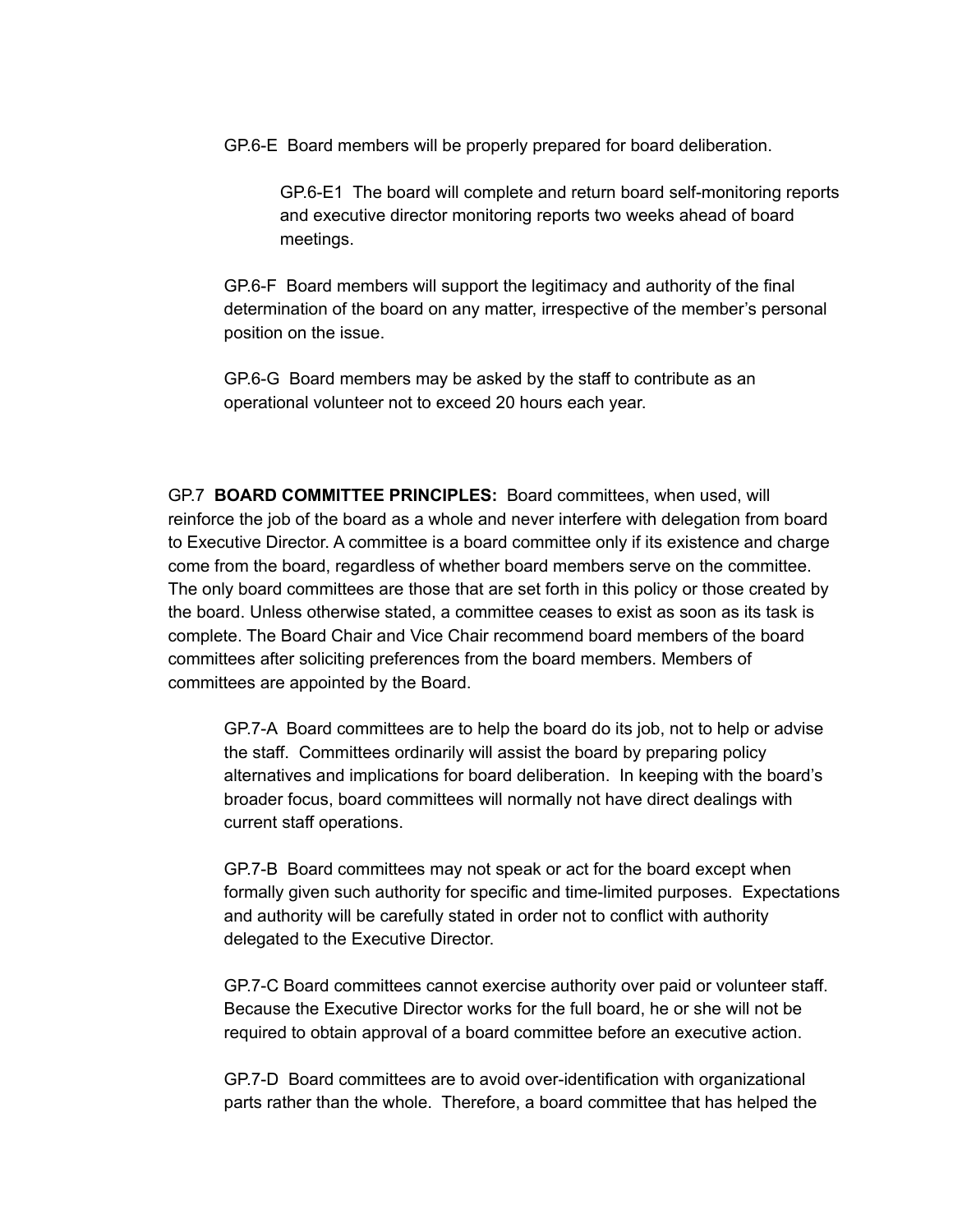GP.6-E Board members will be properly prepared for board deliberation.

GP.6-E1 The board will complete and return board self-monitoring reports and executive director monitoring reports two weeks ahead of board meetings.

GP.6-F Board members will support the legitimacy and authority of the final determination of the board on any matter, irrespective of the member's personal position on the issue.

GP.6-G Board members may be asked by the staff to contribute as an operational volunteer not to exceed 20 hours each year.

GP.7 **BOARD COMMITTEE PRINCIPLES:** Board committees, when used, will reinforce the job of the board as a whole and never interfere with delegation from board to Executive Director. A committee is a board committee only if its existence and charge come from the board, regardless of whether board members serve on the committee. The only board committees are those that are set forth in this policy or those created by the board. Unless otherwise stated, a committee ceases to exist as soon as its task is complete. The Board Chair and Vice Chair recommend board members of the board committees after soliciting preferences from the board members. Members of committees are appointed by the Board.

GP.7-A Board committees are to help the board do its job, not to help or advise the staff. Committees ordinarily will assist the board by preparing policy alternatives and implications for board deliberation. In keeping with the board's broader focus, board committees will normally not have direct dealings with current staff operations.

GP.7-B Board committees may not speak or act for the board except when formally given such authority for specific and time-limited purposes. Expectations and authority will be carefully stated in order not to conflict with authority delegated to the Executive Director.

GP.7-C Board committees cannot exercise authority over paid or volunteer staff. Because the Executive Director works for the full board, he or she will not be required to obtain approval of a board committee before an executive action.

GP.7-D Board committees are to avoid over-identification with organizational parts rather than the whole. Therefore, a board committee that has helped the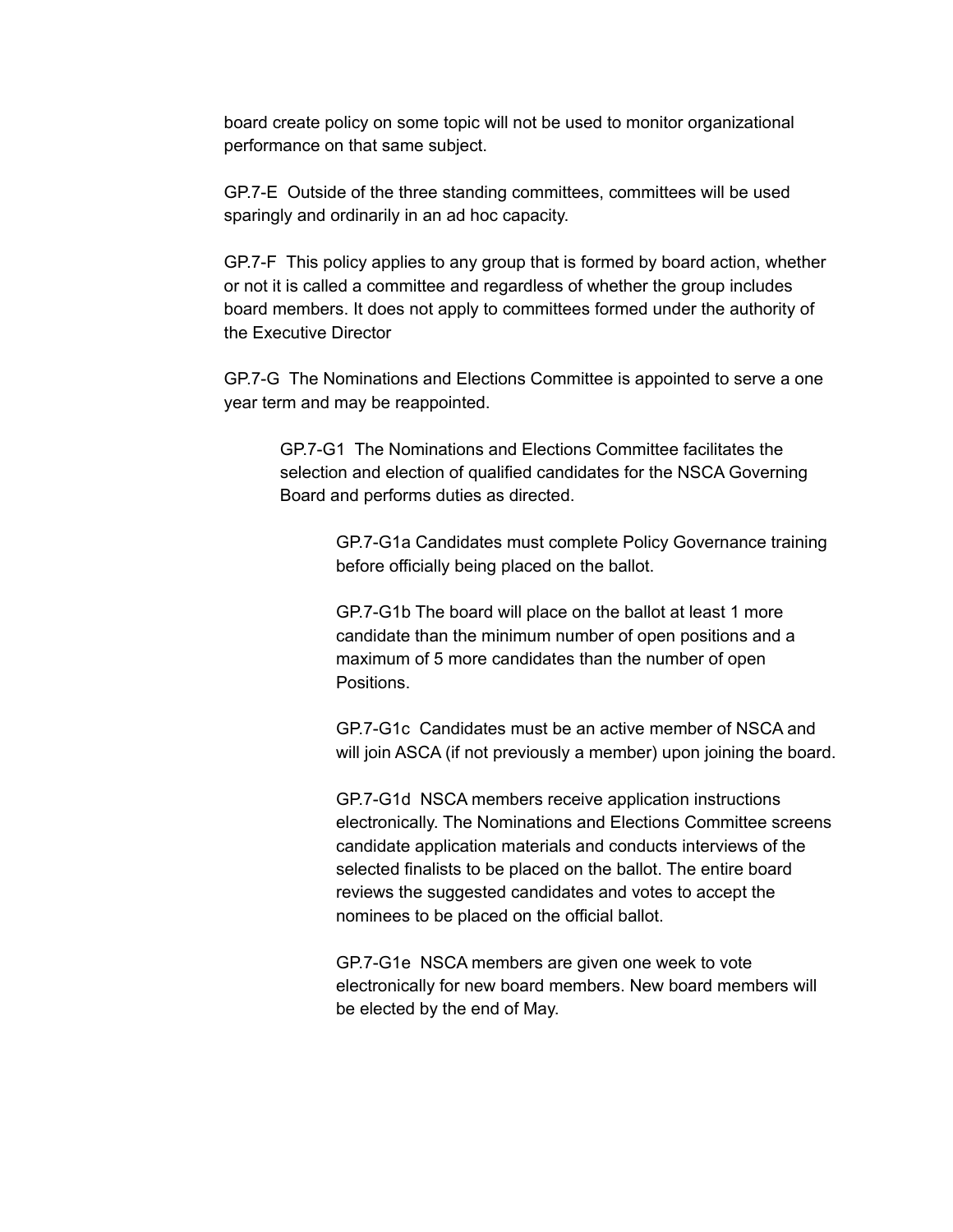board create policy on some topic will not be used to monitor organizational performance on that same subject.

GP.7-E Outside of the three standing committees, committees will be used sparingly and ordinarily in an ad hoc capacity.

GP.7-F This policy applies to any group that is formed by board action, whether or not it is called a committee and regardless of whether the group includes board members. It does not apply to committees formed under the authority of the Executive Director

GP.7-G The Nominations and Elections Committee is appointed to serve a one year term and may be reappointed.

GP.7-G1 The Nominations and Elections Committee facilitates the selection and election of qualified candidates for the NSCA Governing Board and performs duties as directed.

> GP.7-G1a Candidates must complete Policy Governance training before officially being placed on the ballot.

GP.7-G1b The board will place on the ballot at least 1 more candidate than the minimum number of open positions and a maximum of 5 more candidates than the number of open Positions.

GP.7-G1c Candidates must be an active member of NSCA and will join ASCA (if not previously a member) upon joining the board.

GP.7-G1d NSCA members receive application instructions electronically. The Nominations and Elections Committee screens candidate application materials and conducts interviews of the selected finalists to be placed on the ballot. The entire board reviews the suggested candidates and votes to accept the nominees to be placed on the official ballot.

GP.7-G1e NSCA members are given one week to vote electronically for new board members. New board members will be elected by the end of May.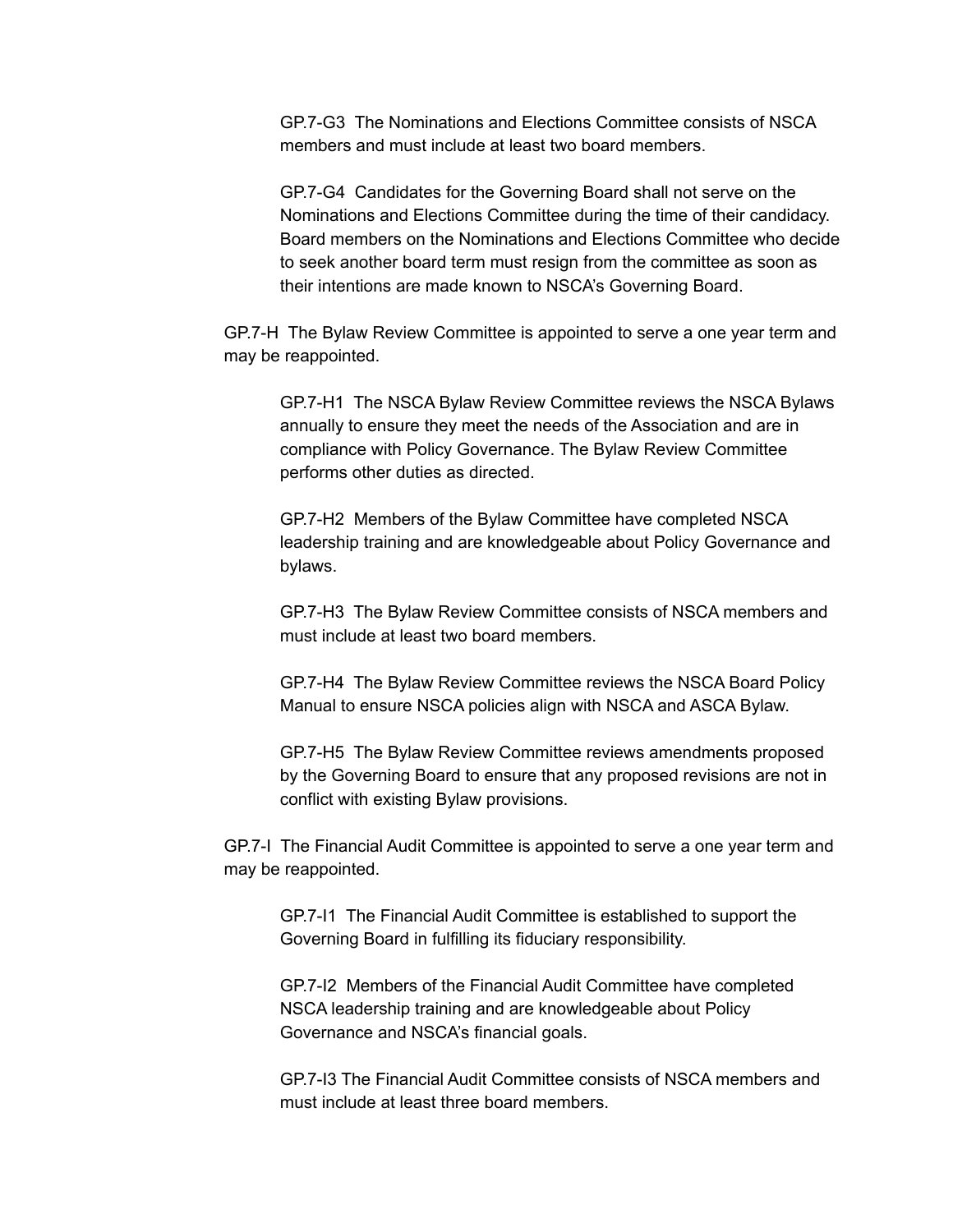GP.7-G3 The Nominations and Elections Committee consists of NSCA members and must include at least two board members.

GP.7-G4 Candidates for the Governing Board shall not serve on the Nominations and Elections Committee during the time of their candidacy. Board members on the Nominations and Elections Committee who decide to seek another board term must resign from the committee as soon as their intentions are made known to NSCA's Governing Board.

GP.7-H The Bylaw Review Committee is appointed to serve a one year term and may be reappointed.

GP.7-H1 The NSCA Bylaw Review Committee reviews the NSCA Bylaws annually to ensure they meet the needs of the Association and are in compliance with Policy Governance. The Bylaw Review Committee performs other duties as directed.

GP.7-H2 Members of the Bylaw Committee have completed NSCA leadership training and are knowledgeable about Policy Governance and bylaws.

GP.7-H3 The Bylaw Review Committee consists of NSCA members and must include at least two board members.

GP.7-H4 The Bylaw Review Committee reviews the NSCA Board Policy Manual to ensure NSCA policies align with NSCA and ASCA Bylaw.

GP.7-H5 The Bylaw Review Committee reviews amendments proposed by the Governing Board to ensure that any proposed revisions are not in conflict with existing Bylaw provisions.

GP.7-I The Financial Audit Committee is appointed to serve a one year term and may be reappointed.

GP.7-I1 The Financial Audit Committee is established to support the Governing Board in fulfilling its fiduciary responsibility.

GP.7-I2 Members of the Financial Audit Committee have completed NSCA leadership training and are knowledgeable about Policy Governance and NSCA's financial goals.

GP.7-I3 The Financial Audit Committee consists of NSCA members and must include at least three board members.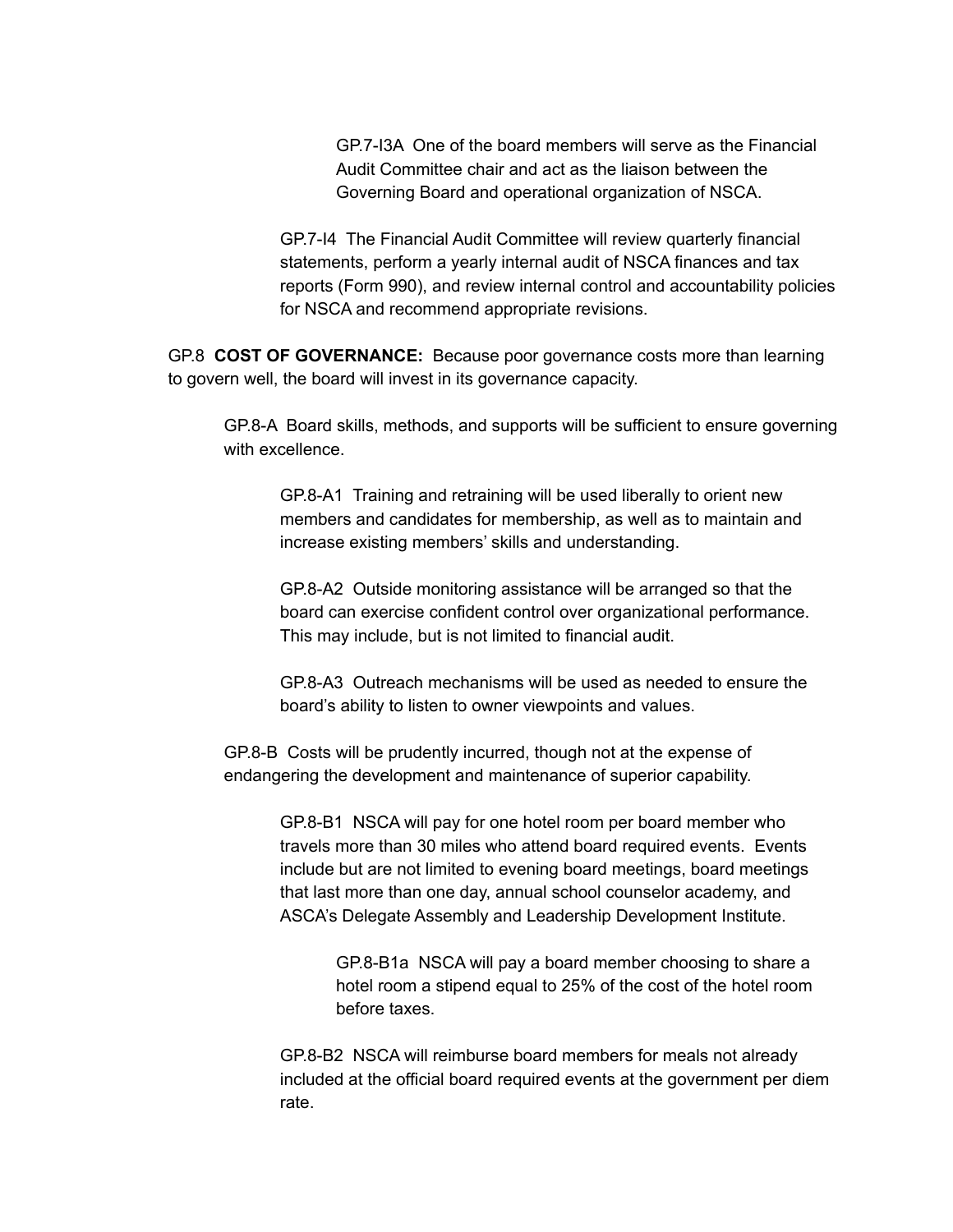GP.7-I3A One of the board members will serve as the Financial Audit Committee chair and act as the liaison between the Governing Board and operational organization of NSCA.

GP.7-I4 The Financial Audit Committee will review quarterly financial statements, perform a yearly internal audit of NSCA finances and tax reports (Form 990), and review internal control and accountability policies for NSCA and recommend appropriate revisions.

GP.8 **COST OF GOVERNANCE:** Because poor governance costs more than learning to govern well, the board will invest in its governance capacity.

GP.8-A Board skills, methods, and supports will be sufficient to ensure governing with excellence.

GP.8-A1 Training and retraining will be used liberally to orient new members and candidates for membership, as well as to maintain and increase existing members' skills and understanding.

GP.8-A2 Outside monitoring assistance will be arranged so that the board can exercise confident control over organizational performance. This may include, but is not limited to financial audit.

GP.8-A3 Outreach mechanisms will be used as needed to ensure the board's ability to listen to owner viewpoints and values.

GP.8-B Costs will be prudently incurred, though not at the expense of endangering the development and maintenance of superior capability.

> GP.8-B1 NSCA will pay for one hotel room per board member who travels more than 30 miles who attend board required events. Events include but are not limited to evening board meetings, board meetings that last more than one day, annual school counselor academy, and ASCA's Delegate Assembly and Leadership Development Institute.

> > GP.8-B1a NSCA will pay a board member choosing to share a hotel room a stipend equal to 25% of the cost of the hotel room before taxes.

GP.8-B2 NSCA will reimburse board members for meals not already included at the official board required events at the government per diem rate.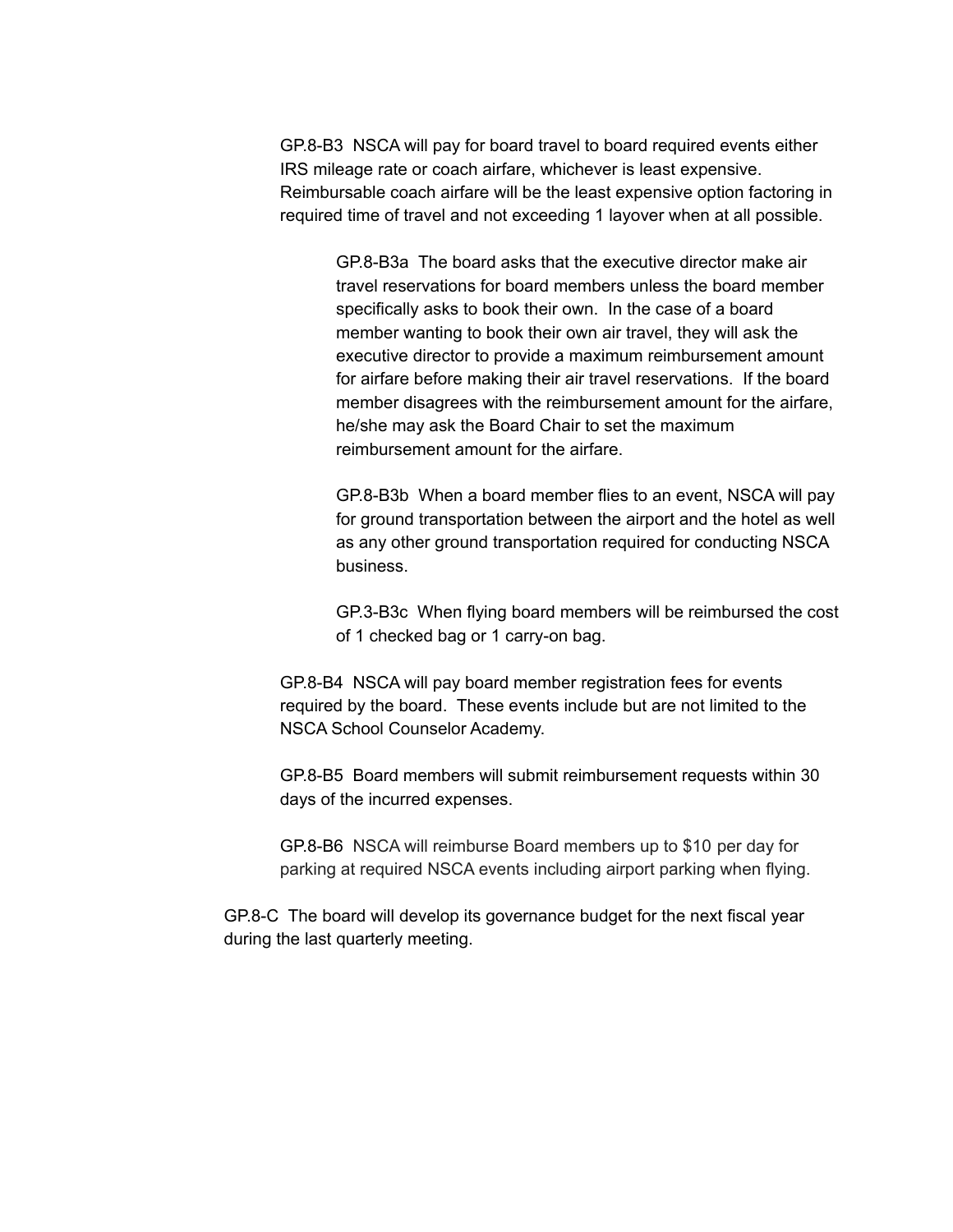GP.8-B3 NSCA will pay for board travel to board required events either IRS mileage rate or coach airfare, whichever is least expensive. Reimbursable coach airfare will be the least expensive option factoring in required time of travel and not exceeding 1 layover when at all possible.

GP.8-B3a The board asks that the executive director make air travel reservations for board members unless the board member specifically asks to book their own. In the case of a board member wanting to book their own air travel, they will ask the executive director to provide a maximum reimbursement amount for airfare before making their air travel reservations. If the board member disagrees with the reimbursement amount for the airfare, he/she may ask the Board Chair to set the maximum reimbursement amount for the airfare.

GP.8-B3b When a board member flies to an event, NSCA will pay for ground transportation between the airport and the hotel as well as any other ground transportation required for conducting NSCA business.

GP.3-B3c When flying board members will be reimbursed the cost of 1 checked bag or 1 carry-on bag.

GP.8-B4 NSCA will pay board member registration fees for events required by the board. These events include but are not limited to the NSCA School Counselor Academy.

GP.8-B5 Board members will submit reimbursement requests within 30 days of the incurred expenses.

GP.8-B6 NSCA will reimburse Board members up to \$10 per day for parking at required NSCA events including airport parking when flying.

GP.8-C The board will develop its governance budget for the next fiscal year during the last quarterly meeting.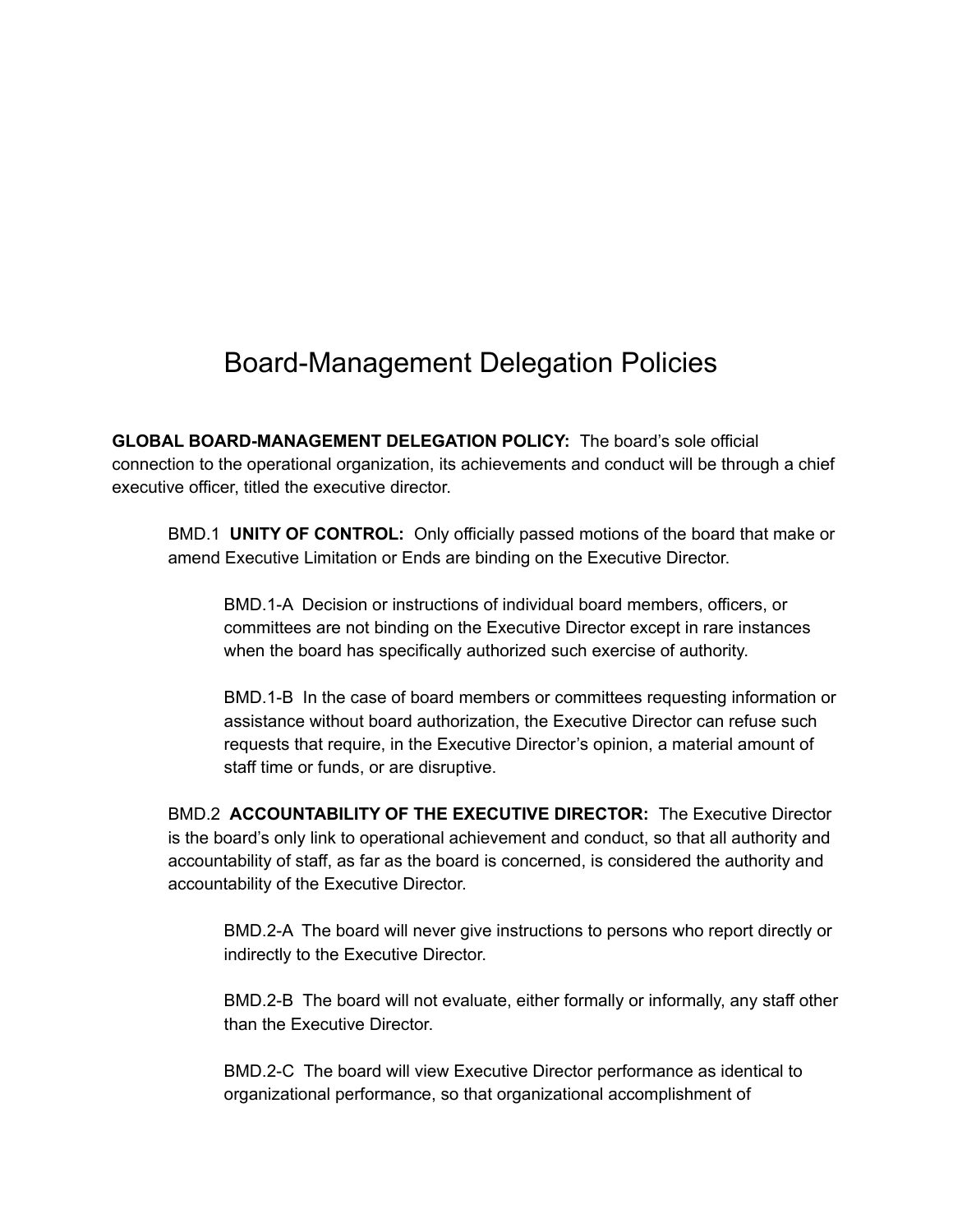#### Board-Management Delegation Policies

**GLOBAL BOARD-MANAGEMENT DELEGATION POLICY:** The board's sole official connection to the operational organization, its achievements and conduct will be through a chief executive officer, titled the executive director.

BMD.1 **UNITY OF CONTROL:** Only officially passed motions of the board that make or amend Executive Limitation or Ends are binding on the Executive Director.

BMD.1-A Decision or instructions of individual board members, officers, or committees are not binding on the Executive Director except in rare instances when the board has specifically authorized such exercise of authority.

BMD.1-B In the case of board members or committees requesting information or assistance without board authorization, the Executive Director can refuse such requests that require, in the Executive Director's opinion, a material amount of staff time or funds, or are disruptive.

BMD.2 **ACCOUNTABILITY OF THE EXECUTIVE DIRECTOR:** The Executive Director is the board's only link to operational achievement and conduct, so that all authority and accountability of staff, as far as the board is concerned, is considered the authority and accountability of the Executive Director.

BMD.2-A The board will never give instructions to persons who report directly or indirectly to the Executive Director.

BMD.2-B The board will not evaluate, either formally or informally, any staff other than the Executive Director.

BMD.2-C The board will view Executive Director performance as identical to organizational performance, so that organizational accomplishment of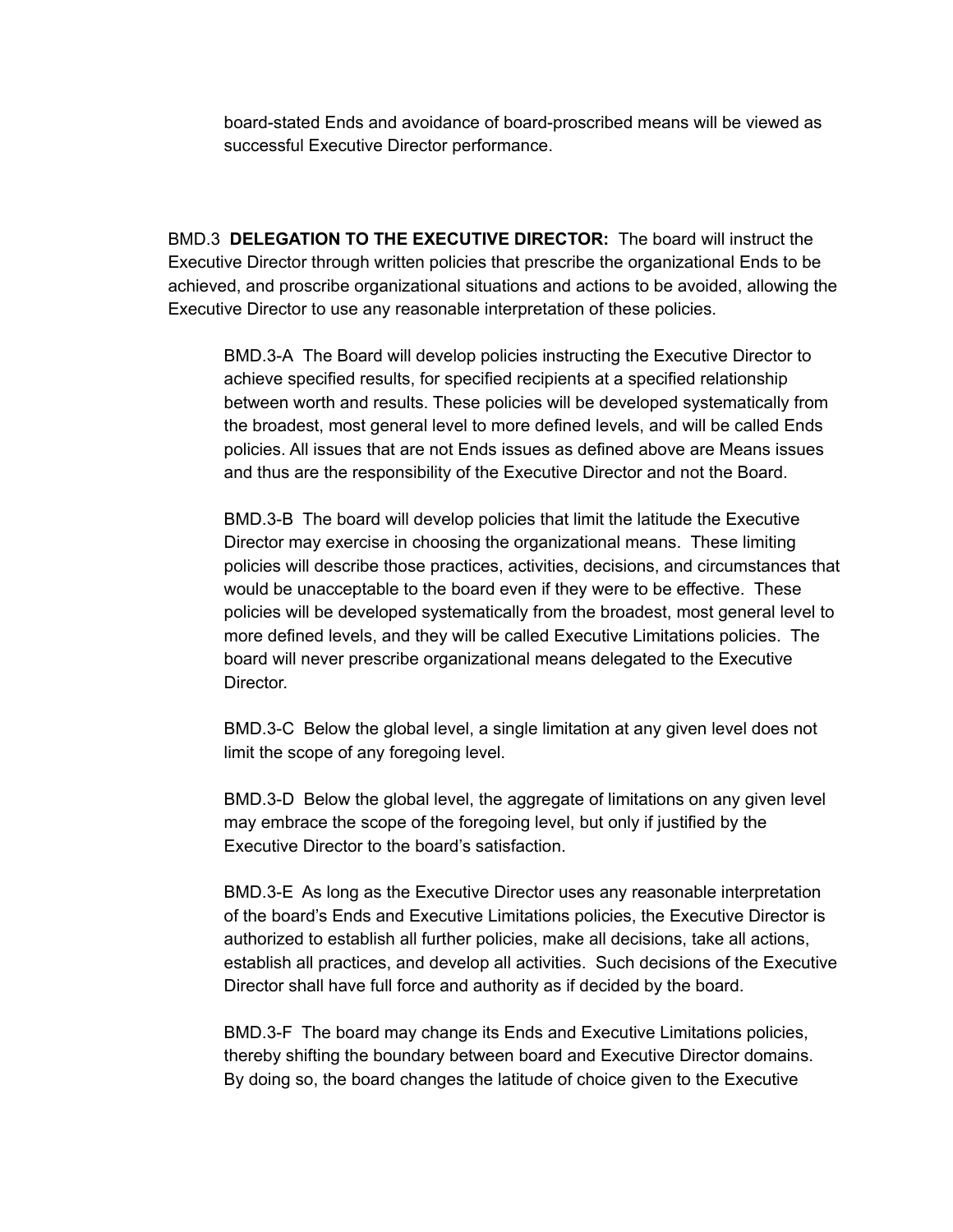board-stated Ends and avoidance of board-proscribed means will be viewed as successful Executive Director performance.

BMD.3 **DELEGATION TO THE EXECUTIVE DIRECTOR:** The board will instruct the Executive Director through written policies that prescribe the organizational Ends to be achieved, and proscribe organizational situations and actions to be avoided, allowing the Executive Director to use any reasonable interpretation of these policies.

BMD.3-A The Board will develop policies instructing the Executive Director to achieve specified results, for specified recipients at a specified relationship between worth and results. These policies will be developed systematically from the broadest, most general level to more defined levels, and will be called Ends policies. All issues that are not Ends issues as defined above are Means issues and thus are the responsibility of the Executive Director and not the Board.

BMD.3-B The board will develop policies that limit the latitude the Executive Director may exercise in choosing the organizational means. These limiting policies will describe those practices, activities, decisions, and circumstances that would be unacceptable to the board even if they were to be effective. These policies will be developed systematically from the broadest, most general level to more defined levels, and they will be called Executive Limitations policies. The board will never prescribe organizational means delegated to the Executive Director.

BMD.3-C Below the global level, a single limitation at any given level does not limit the scope of any foregoing level.

BMD.3-D Below the global level, the aggregate of limitations on any given level may embrace the scope of the foregoing level, but only if justified by the Executive Director to the board's satisfaction.

BMD.3-E As long as the Executive Director uses any reasonable interpretation of the board's Ends and Executive Limitations policies, the Executive Director is authorized to establish all further policies, make all decisions, take all actions, establish all practices, and develop all activities. Such decisions of the Executive Director shall have full force and authority as if decided by the board.

BMD.3-F The board may change its Ends and Executive Limitations policies, thereby shifting the boundary between board and Executive Director domains. By doing so, the board changes the latitude of choice given to the Executive